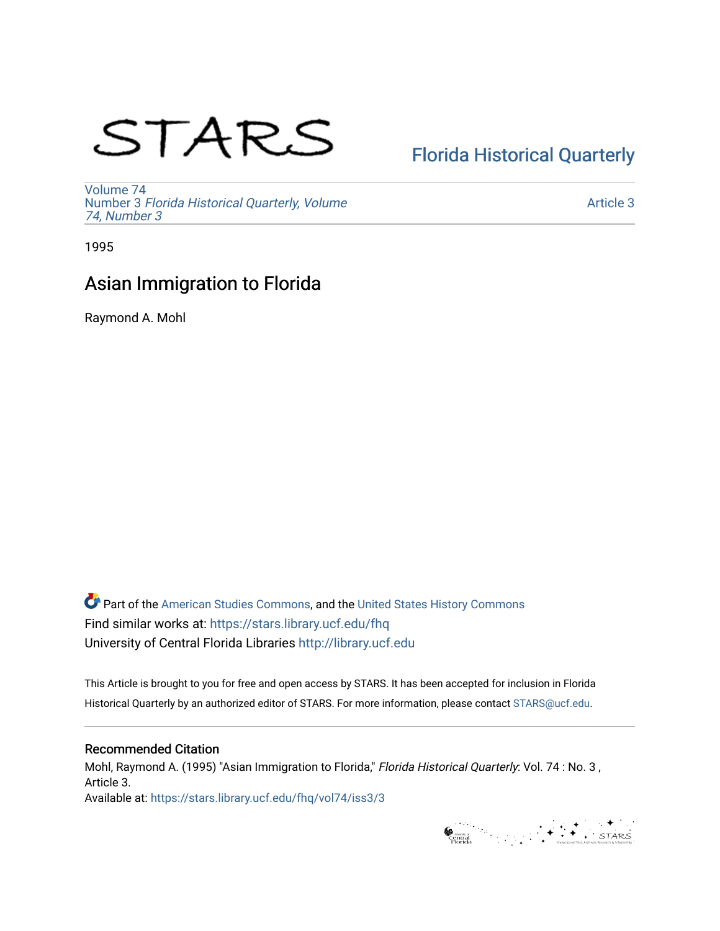# STARS

# [Florida Historical Quarterly](https://stars.library.ucf.edu/fhq)

[Volume 74](https://stars.library.ucf.edu/fhq/vol74) Number 3 [Florida Historical Quarterly, Volume](https://stars.library.ucf.edu/fhq/vol74/iss3)  [74, Number 3](https://stars.library.ucf.edu/fhq/vol74/iss3)

[Article 3](https://stars.library.ucf.edu/fhq/vol74/iss3/3) 

1995

# Asian Immigration to Florida

Raymond A. Mohl

**C** Part of the [American Studies Commons](http://network.bepress.com/hgg/discipline/439?utm_source=stars.library.ucf.edu%2Ffhq%2Fvol74%2Fiss3%2F3&utm_medium=PDF&utm_campaign=PDFCoverPages), and the United States History Commons Find similar works at: <https://stars.library.ucf.edu/fhq> University of Central Florida Libraries [http://library.ucf.edu](http://library.ucf.edu/) 

This Article is brought to you for free and open access by STARS. It has been accepted for inclusion in Florida Historical Quarterly by an authorized editor of STARS. For more information, please contact [STARS@ucf.edu.](mailto:STARS@ucf.edu)

## Recommended Citation

Mohl, Raymond A. (1995) "Asian Immigration to Florida," Florida Historical Quarterly: Vol. 74 : No. 3 , Article 3. Available at: [https://stars.library.ucf.edu/fhq/vol74/iss3/3](https://stars.library.ucf.edu/fhq/vol74/iss3/3?utm_source=stars.library.ucf.edu%2Ffhq%2Fvol74%2Fiss3%2F3&utm_medium=PDF&utm_campaign=PDFCoverPages) 

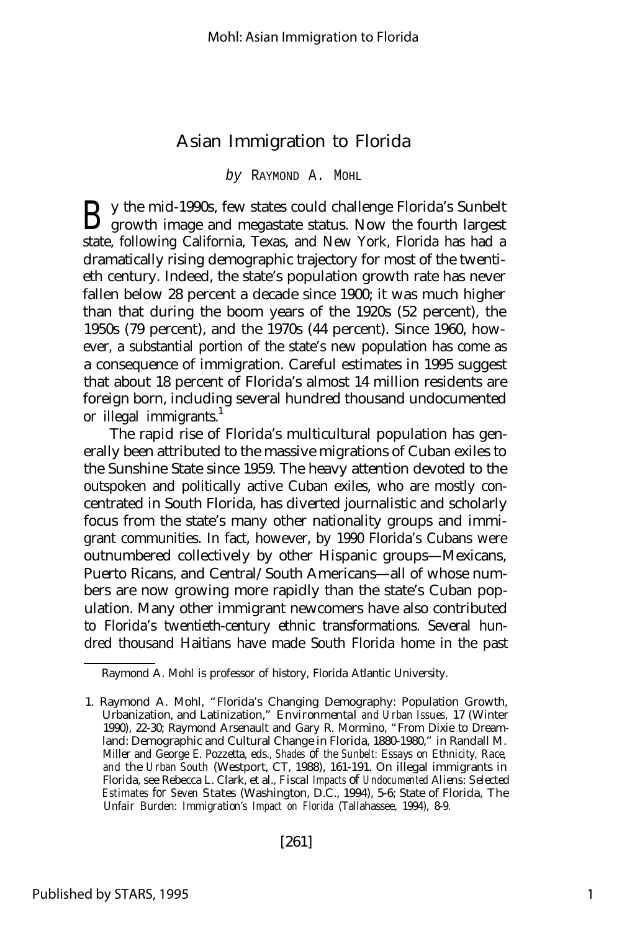## Asian Immigration to Florida

#### *by* RAYMOND A. MOHL

B y the mid-1990s, few states could challenge Florida's Sunbelt growth image and megastate status. Now the fourth largest growth image and megastate status. Now the fourth largest state, following California, Texas, and New York, Florida has had a dramatically rising demographic trajectory for most of the twentieth century. Indeed, the state's population growth rate has never fallen below 28 percent a decade since 1900; it was much higher than that during the boom years of the 1920s (52 percent), the 1950s (79 percent), and the 1970s (44 percent). Since 1960, however, a substantial portion of the state's new population has come as a consequence of immigration. Careful estimates in 1995 suggest that about 18 percent of Florida's almost 14 million residents are foreign born, including several hundred thousand undocumented or illegal immigrants.<sup>1</sup>

The rapid rise of Florida's multicultural population has generally been attributed to the massive migrations of Cuban exiles to the Sunshine State since 1959. The heavy attention devoted to the outspoken and politically active Cuban exiles, who are mostly concentrated in South Florida, has diverted journalistic and scholarly focus from the state's many other nationality groups and immigrant communities. In fact, however, by 1990 Florida's Cubans were outnumbered collectively by other Hispanic groups— Mexicans, Puerto Ricans, and Central/South Americans— all of whose numbers are now growing more rapidly than the state's Cuban population. Many other immigrant newcomers have also contributed to Florida's twentieth-century ethnic transformations. Several hundred thousand Haitians have made South Florida home in the past

Raymond A. Mohl is professor of history, Florida Atlantic University.

<sup>1.</sup> Raymond A. Mohl, "Florida's Changing Demography: Population Growth, Urbanization, and Latinization," *Environmental and Urban Issues,* 17 (Winter 1990), 22-30; Raymond Arsenault and Gary R. Mormino, "From Dixie to Dreamland: Demographic and Cultural Change in Florida, 1880-1980," in Randall M. Miller and George E. Pozzetta, eds., *Shades of the Sunbelt: Essays on Ethnicity, Race, and the Urban South* (Westport, CT, 1988), 161-191. On illegal immigrants in Florida, see Rebecca L. Clark, et al., *Fiscal Impacts of Undocumented Aliens: Selected Estimates for Seven States* (Washington, D.C., 1994), 5-6; State of Florida, *The Unfair Burden: Immigration's Impact on Florida* (Tallahassee, 1994), 8-9.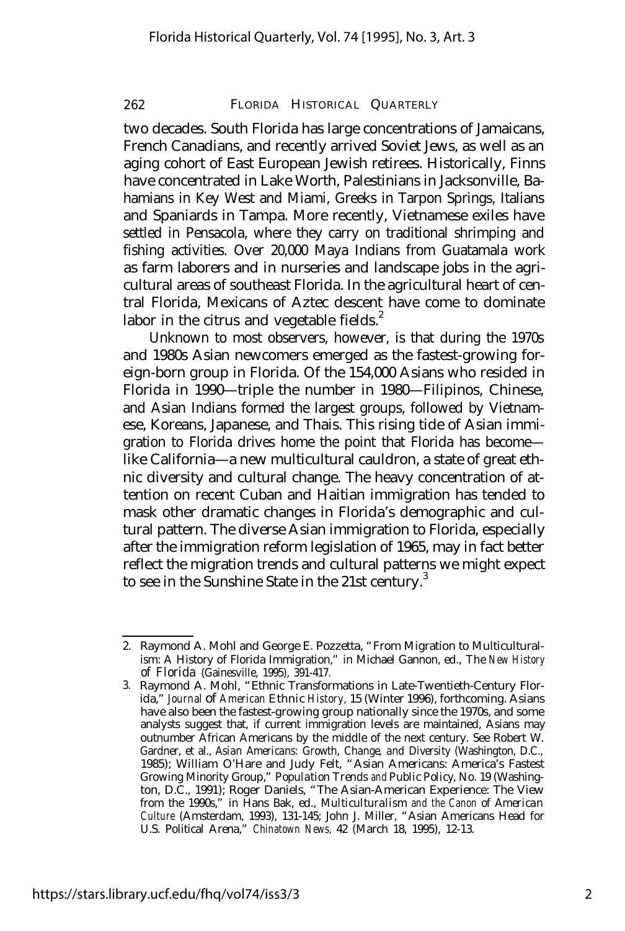two decades. South Florida has large concentrations of Jamaicans, French Canadians, and recently arrived Soviet Jews, as well as an aging cohort of East European Jewish retirees. Historically, Finns have concentrated in Lake Worth, Palestinians in Jacksonville, Bahamians in Key West and Miami, Greeks in Tarpon Springs, Italians and Spaniards in Tampa. More recently, Vietnamese exiles have settled in Pensacola, where they carry on traditional shrimping and fishing activities. Over 20,000 Maya Indians from Guatamala work as farm laborers and in nurseries and landscape jobs in the agricultural areas of southeast Florida. In the agricultural heart of central Florida, Mexicans of Aztec descent have come to dominate labor in the citrus and vegetable fields. $2$ 

Unknown to most observers, however, is that during the 1970s and 1980s Asian newcomers emerged as the fastest-growing foreign-born group in Florida. Of the 154,000 Asians who resided in Florida in 1990— triple the number in 1980— Filipinos, Chinese, and Asian Indians formed the largest groups, followed by Vietnamese, Koreans, Japanese, and Thais. This rising tide of Asian immigration to Florida drives home the point that Florida has become like California— a new multicultural cauldron, a state of great ethnic diversity and cultural change. The heavy concentration of attention on recent Cuban and Haitian immigration has tended to mask other dramatic changes in Florida's demographic and cultural pattern. The diverse Asian immigration to Florida, especially after the immigration reform legislation of 1965, may in fact better reflect the migration trends and cultural patterns we might expect to see in the Sunshine State in the 21st century.<sup>3</sup>

<sup>2.</sup> Raymond A. Mohl and George E. Pozzetta, "From Migration to Multiculturalism: A History of Florida Immigration," in Michael Gannon, ed., *The New History of Florida* (Gainesville, 1995), 391-417.

<sup>3.</sup> Raymond A. Mohl, "Ethnic Transformations in Late-Twentieth-Century Florida," *Journal of American Ethnic History,* 15 (Winter 1996), forthcoming. Asians have also been the fastest-growing group nationally since the 1970s, and some analysts suggest that, if current immigration levels are maintained, Asians may outnumber African Americans by the middle of the next century. See Robert W. Gardner, et al., *Asian Americans: Growth, Change, and Diversity* (Washington, D.C., 1985); William O'Hare and Judy Felt, "Asian Americans: America's Fastest Growing Minority Group," *Population Trends and Public Policy,* No. 19 (Washington, D.C., 1991); Roger Daniels, "The Asian-American Experience: The View from the 1990s," in Hans Bak, ed., *Multiculturalism and the Canon of American Culture* (Amsterdam, 1993), 131-145; John J. Miller, "Asian Americans Head for U.S. Political Arena," *Chinatown News,* 42 (March 18, 1995), 12-13.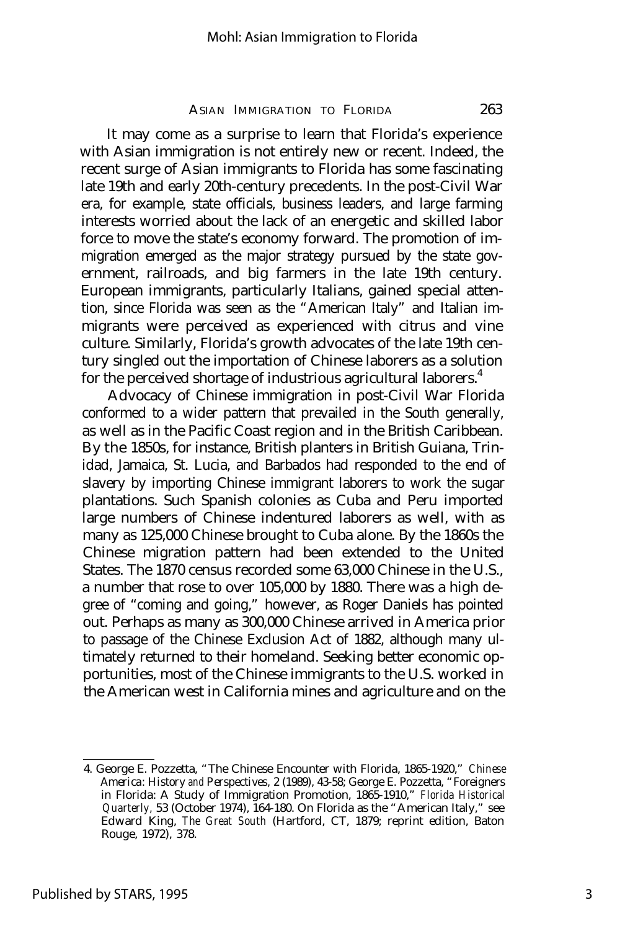It may come as a surprise to learn that Florida's experience with Asian immigration is not entirely new or recent. Indeed, the recent surge of Asian immigrants to Florida has some fascinating late 19th and early 20th-century precedents. In the post-Civil War era, for example, state officials, business leaders, and large farming interests worried about the lack of an energetic and skilled labor force to move the state's economy forward. The promotion of immigration emerged as the major strategy pursued by the state government, railroads, and big farmers in the late 19th century. European immigrants, particularly Italians, gained special attention, since Florida was seen as the "American Italy" and Italian immigrants were perceived as experienced with citrus and vine culture. Similarly, Florida's growth advocates of the late 19th century singled out the importation of Chinese laborers as a solution for the perceived shortage of industrious agricultural laborers.<sup>4</sup>

Advocacy of Chinese immigration in post-Civil War Florida conformed to a wider pattern that prevailed in the South generally, as well as in the Pacific Coast region and in the British Caribbean. By the 1850s, for instance, British planters in British Guiana, Trinidad, Jamaica, St. Lucia, and Barbados had responded to the end of slavery by importing Chinese immigrant laborers to work the sugar plantations. Such Spanish colonies as Cuba and Peru imported large numbers of Chinese indentured laborers as well, with as many as 125,000 Chinese brought to Cuba alone. By the 1860s the Chinese migration pattern had been extended to the United States. The 1870 census recorded some 63,000 Chinese in the U.S., a number that rose to over 105,000 by 1880. There was a high degree of "coming and going," however, as Roger Daniels has pointed out. Perhaps as many as 300,000 Chinese arrived in America prior to passage of the Chinese Exclusion Act of 1882, although many ultimately returned to their homeland. Seeking better economic opportunities, most of the Chinese immigrants to the U.S. worked in the American west in California mines and agriculture and on the

<sup>4.</sup> George E. Pozzetta, "The Chinese Encounter with Florida, 1865-1920," *Chinese America: History and Perspectives,* 2 (1989), 43-58; George E. Pozzetta, "Foreigners in Florida: A Study of Immigration Promotion, 1865-1910," *Florida Historical Quarterly,* 53 (October 1974), 164-180. On Florida as the "American Italy," see Edward King, *The Great South* (Hartford, CT, 1879; reprint edition, Baton Rouge, 1972), 378.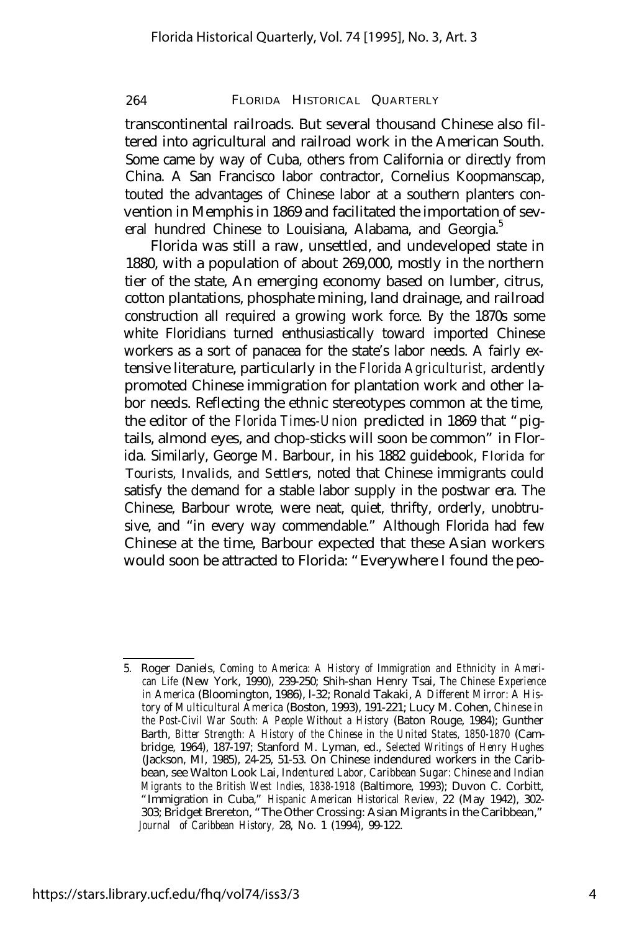transcontinental railroads. But several thousand Chinese also filtered into agricultural and railroad work in the American South. Some came by way of Cuba, others from California or directly from China. A San Francisco labor contractor, Cornelius Koopmanscap, touted the advantages of Chinese labor at a southern planters convention in Memphis in 1869 and facilitated the importation of several hundred Chinese to Louisiana, Alabama, and Georgia.<sup>5</sup>

Florida was still a raw, unsettled, and undeveloped state in 1880, with a population of about 269,000, mostly in the northern tier of the state, An emerging economy based on lumber, citrus, cotton plantations, phosphate mining, land drainage, and railroad construction all required a growing work force. By the 1870s some white Floridians turned enthusiastically toward imported Chinese workers as a sort of panacea for the state's labor needs. A fairly extensive literature, particularly in the *Florida Agriculturist,* ardently promoted Chinese immigration for plantation work and other labor needs. Reflecting the ethnic stereotypes common at the time, the editor of the *Florida Times-Union* predicted in 1869 that "pigtails, almond eyes, and chop-sticks will soon be common" in Florida. Similarly, George M. Barbour, in his 1882 guidebook, *Florida for Tourists, Invalids, and Settlers,* noted that Chinese immigrants could satisfy the demand for a stable labor supply in the postwar era. The Chinese, Barbour wrote, were neat, quiet, thrifty, orderly, unobtrusive, and "in every way commendable." Although Florida had few Chinese at the time, Barbour expected that these Asian workers would soon be attracted to Florida: "Everywhere I found the peo-

<sup>5.</sup> Roger Daniels, *Coming to America: A History of Immigration and Ethnicity in American Life* (New York, 1990), 239-250; Shih-shan Henry Tsai, *The Chinese Experience in America* (Bloomington, 1986), l-32; Ronald Takaki, *A Different Mirror: A History of Multicultural America* (Boston, 1993), 191-221; Lucy M. Cohen, *Chinese in the Post-Civil War South: A People Without a History* (Baton Rouge, 1984); Gunther Barth, *Bitter Strength: A History of the Chinese in the United States, 1850-1870* (Cambridge, 1964), 187-197; Stanford M. Lyman, ed., *Selected Writings of Henry Hughes* (Jackson, MI, 1985), 24-25, 51-53. On Chinese indendured workers in the Caribbean, see Walton Look Lai, *Indentured Labor, Caribbean Sugar: Chinese and Indian Migrants to the British West Indies, 1838-1918* (Baltimore, 1993); Duvon C. Corbitt, "Immigration in Cuba," *Hispanic American Historical Review,* 22 (May 1942), 302- 303; Bridget Brereton, "The Other Crossing: Asian Migrants in the Caribbean," *Journal of Caribbean History,* 28, No. 1 (1994), 99-122.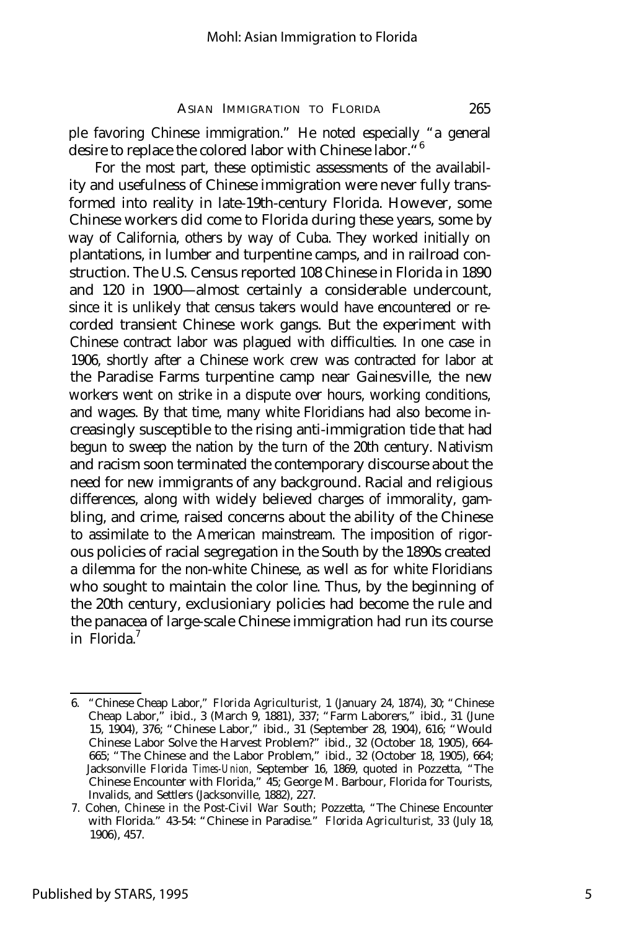ple favoring Chinese immigration." He noted especially "a general desire to replace the colored labor with Chinese labor.<sup>"6</sup>

For the most part, these optimistic assessments of the availability and usefulness of Chinese immigration were never fully transformed into reality in late-19th-century Florida. However, some Chinese workers did come to Florida during these years, some by way of California, others by way of Cuba. They worked initially on plantations, in lumber and turpentine camps, and in railroad construction. The U.S. Census reported 108 Chinese in Florida in 1890 and 120 in 1900— almost certainly a considerable undercount, since it is unlikely that census takers would have encountered or recorded transient Chinese work gangs. But the experiment with Chinese contract labor was plagued with difficulties. In one case in 1906, shortly after a Chinese work crew was contracted for labor at the Paradise Farms turpentine camp near Gainesville, the new workers went on strike in a dispute over hours, working conditions, and wages. By that time, many white Floridians had also become increasingly susceptible to the rising anti-immigration tide that had begun to sweep the nation by the turn of the 20th century. Nativism and racism soon terminated the contemporary discourse about the need for new immigrants of any background. Racial and religious differences, along with widely believed charges of immorality, gambling, and crime, raised concerns about the ability of the Chinese to assimilate to the American mainstream. The imposition of rigorous policies of racial segregation in the South by the 1890s created a dilemma for the non-white Chinese, as well as for white Floridians who sought to maintain the color line. Thus, by the beginning of the 20th century, exclusioniary policies had become the rule and the panacea of large-scale Chinese immigration had run its course in Florida.<sup>7</sup>

<sup>6.</sup> "Chinese Cheap Labor," *Florida Agriculturist,* 1 (January 24, 1874), 30; "Chinese Cheap Labor," ibid., 3 (March 9, 1881), 337; "Farm Laborers," ibid., 31 (June 15, 1904), 376; "Chinese Labor," ibid., 31 (September 28, 1904), 616; "Would Chinese Labor Solve the Harvest Problem?" ibid., 32 (October 18, 1905), 664- 665; "The Chinese and the Labor Problem," ibid., 32 (October 18, 1905), 664; Jacksonville *Florida Times-Union,* September 16, 1869, quoted in Pozzetta, "The Chinese Encounter with Florida," 45; George M. Barbour, Florida for Tourists, Invalids, and Settlers (Jacksonville, 1882), 227.

<sup>7.</sup> Cohen, *Chinese in the Post-Civil War South;* Pozzetta, "The Chinese Encounter with Florida." 43-54: "Chinese in Paradise." *Florida Agriculturist,* 33 (July 18, 1906), 457.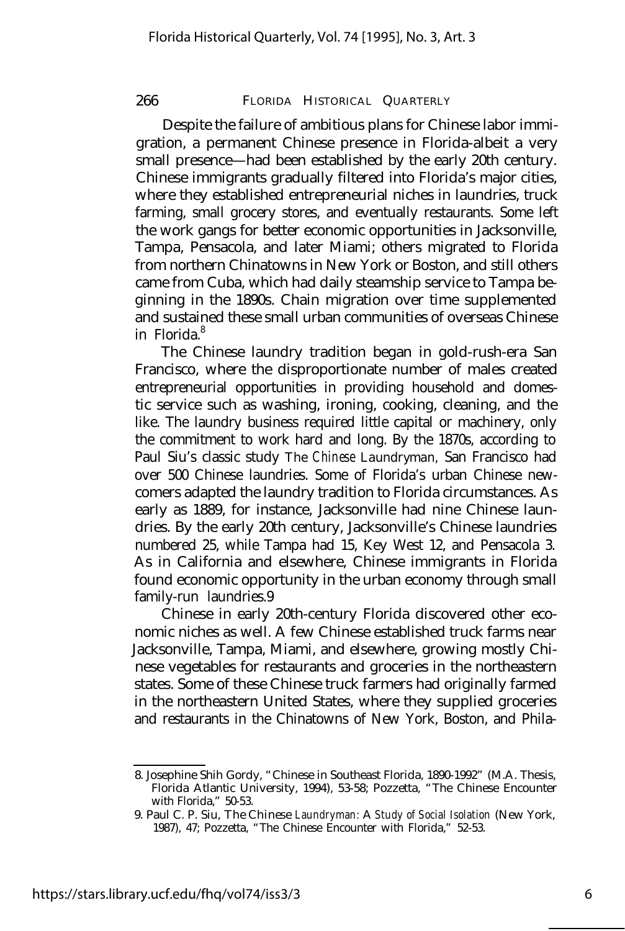Despite the failure of ambitious plans for Chinese labor immigration, a permanent Chinese presence in Florida-albeit a very small presence— had been established by the early 20th century. Chinese immigrants gradually filtered into Florida's major cities, where they established entrepreneurial niches in laundries, truck farming, small grocery stores, and eventually restaurants. Some left the work gangs for better economic opportunities in Jacksonville, Tampa, Pensacola, and later Miami; others migrated to Florida from northern Chinatowns in New York or Boston, and still others came from Cuba, which had daily steamship service to Tampa beginning in the 1890s. Chain migration over time supplemented and sustained these small urban communities of overseas Chinese in Florida.<sup>8</sup>

The Chinese laundry tradition began in gold-rush-era San Francisco, where the disproportionate number of males created entrepreneurial opportunities in providing household and domestic service such as washing, ironing, cooking, cleaning, and the like. The laundry business required little capital or machinery, only the commitment to work hard and long. By the 1870s, according to Paul Siu's classic study *The Chinese Laundryman,* San Francisco had over 500 Chinese laundries. Some of Florida's urban Chinese newcomers adapted the laundry tradition to Florida circumstances. As early as 1889, for instance, Jacksonville had nine Chinese laundries. By the early 20th century, Jacksonville's Chinese laundries numbered 25, while Tampa had 15, Key West 12, and Pensacola 3. As in California and elsewhere, Chinese immigrants in Florida found economic opportunity in the urban economy through small family-run laundries.9

Chinese in early 20th-century Florida discovered other economic niches as well. A few Chinese established truck farms near Jacksonville, Tampa, Miami, and elsewhere, growing mostly Chinese vegetables for restaurants and groceries in the northeastern states. Some of these Chinese truck farmers had originally farmed in the northeastern United States, where they supplied groceries and restaurants in the Chinatowns of New York, Boston, and Phila-

<sup>8.</sup> Josephine Shih Gordy, "Chinese in Southeast Florida, 1890-1992" (M.A. Thesis, Florida Atlantic University, 1994), 53-58; Pozzetta, "The Chinese Encounter with Florida," 50-53.

<sup>9.</sup> Paul C. P. Siu, *The Chinese Laundryman: A Study of Social Isolation* (New York, 1987), 47; Pozzetta, "The Chinese Encounter with Florida," 52-53.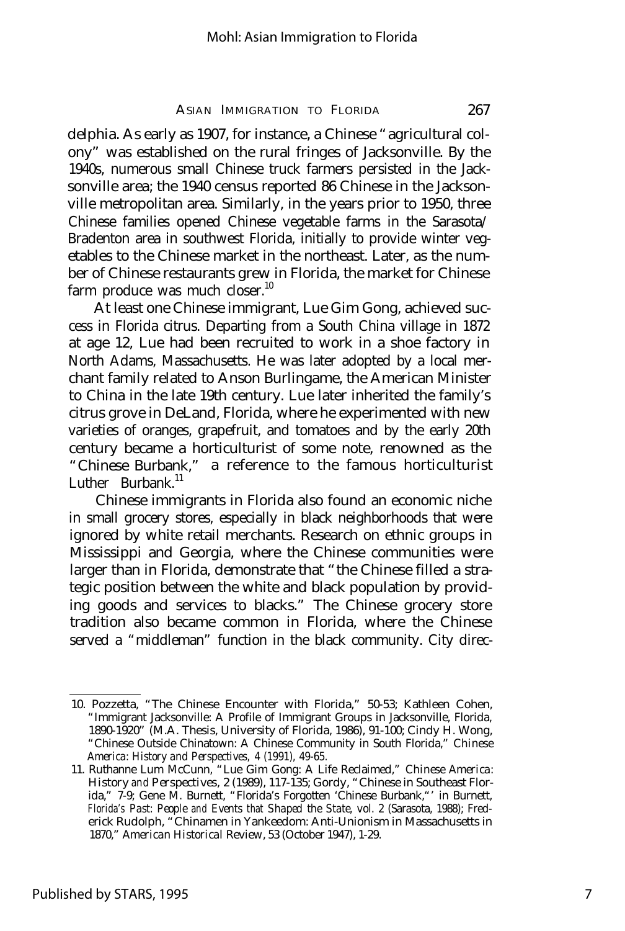delphia. As early as 1907, for instance, a Chinese "agricultural colony" was established on the rural fringes of Jacksonville. By the 1940s, numerous small Chinese truck farmers persisted in the Jacksonville area; the 1940 census reported 86 Chinese in the Jacksonville metropolitan area. Similarly, in the years prior to 1950, three Chinese families opened Chinese vegetable farms in the Sarasota/ Bradenton area in southwest Florida, initially to provide winter vegetables to the Chinese market in the northeast. Later, as the number of Chinese restaurants grew in Florida, the market for Chinese farm produce was much closer. $^{10}$ 

At least one Chinese immigrant, Lue Gim Gong, achieved success in Florida citrus. Departing from a South China village in 1872 at age 12, Lue had been recruited to work in a shoe factory in North Adams, Massachusetts. He was later adopted by a local merchant family related to Anson Burlingame, the American Minister to China in the late 19th century. Lue later inherited the family's citrus grove in DeLand, Florida, where he experimented with new varieties of oranges, grapefruit, and tomatoes and by the early 20th century became a horticulturist of some note, renowned as the "Chinese Burbank," a reference to the famous horticulturist Luther Burbank.<sup>11</sup>

Chinese immigrants in Florida also found an economic niche in small grocery stores, especially in black neighborhoods that were ignored by white retail merchants. Research on ethnic groups in Mississippi and Georgia, where the Chinese communities were larger than in Florida, demonstrate that "the Chinese filled a strategic position between the white and black population by providing goods and services to blacks." The Chinese grocery store tradition also became common in Florida, where the Chinese served a "middleman" function in the black community. City direc-

<sup>10.</sup> Pozzetta, "The Chinese Encounter with Florida," 50-53; Kathleen Cohen, "Immigrant Jacksonville: A Profile of Immigrant Groups in Jacksonville, Florida, 1890-1920" (M.A. Thesis, University of Florida, 1986), 91-100; Cindy H. Wong, "Chinese Outside Chinatown: A Chinese Community in South Florida," *Chinese America: History and Perspectives,* 4 (1991), 49-65.

<sup>11.</sup> Ruthanne Lum McCunn, "Lue Gim Gong: A Life Reclaimed," *Chinese America: History and Perspectives,* 2 (1989), 117-135; Gordy, "Chinese in Southeast Florida," 7-9; Gene M. Burnett, "Florida's Forgotten 'Chinese Burbank,"' in Burnett, *Florida's Past: People and Events that Shaped the State,* vol. 2 (Sarasota, 1988); Frederick Rudolph, "Chinamen in Yankeedom: Anti-Unionism in Massachusetts in 1870," *American Historical* Review, 53 (October 1947), 1-29.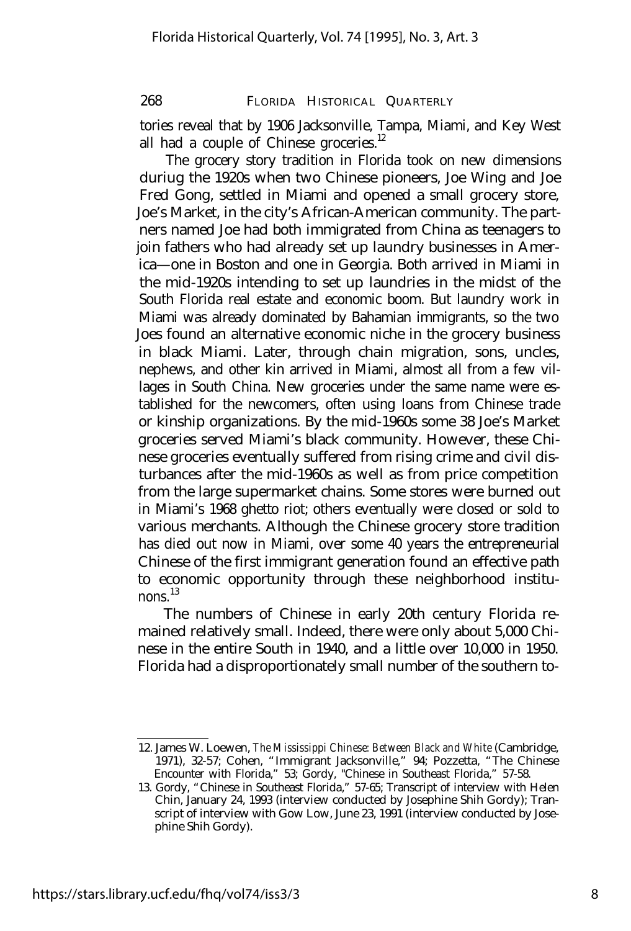tories reveal that by 1906 Jacksonville, Tampa, Miami, and Key West all had a couple of Chinese groceries. $12$ 

The grocery story tradition in Florida took on new dimensions duriug the 1920s when two Chinese pioneers, Joe Wing and Joe Fred Gong, settled in Miami and opened a small grocery store, Joe's Market, in the city's African-American community. The partners named Joe had both immigrated from China as teenagers to join fathers who had already set up laundry businesses in America— one in Boston and one in Georgia. Both arrived in Miami in the mid-1920s intending to set up laundries in the midst of the South Florida real estate and economic boom. But laundry work in Miami was already dominated by Bahamian immigrants, so the two Joes found an alternative economic niche in the grocery business in black Miami. Later, through chain migration, sons, uncles, nephews, and other kin arrived in Miami, almost all from a few villages in South China. New groceries under the same name were established for the newcomers, often using loans from Chinese trade or kinship organizations. By the mid-1960s some 38 Joe's Market groceries served Miami's black community. However, these Chinese groceries eventually suffered from rising crime and civil disturbances after the mid-1960s as well as from price competition from the large supermarket chains. Some stores were burned out in Miami's 1968 ghetto riot; others eventually were closed or sold to various merchants. Although the Chinese grocery store tradition has died out now in Miami, over some 40 years the entrepreneurial Chinese of the first immigrant generation found an effective path to economic opportunity through these neighborhood institunons.<sup>13</sup>

The numbers of Chinese in early 20th century Florida remained relatively small. Indeed, there were only about 5,000 Chinese in the entire South in 1940, and a little over 10,000 in 1950. Florida had a disproportionately small number of the southern to-

<sup>12.</sup> James W. Loewen, *The Mississippi Chinese: Between Black and White* (Cambridge, 1971), 32-57; Cohen, "Immigrant Jacksonville," 94; Pozzetta, "The Chinese Encounter with Florida," 53; Gordy, "Chinese in Southeast Florida," 57-58.

<sup>13.</sup> Gordy, "Chinese in Southeast Florida," 57-65; Transcript of interview with Helen Chin, January 24, 1993 (interview conducted by Josephine Shih Gordy); Transcript of interview with Gow Low, June 23, 1991 (interview conducted by Josephine Shih Gordy).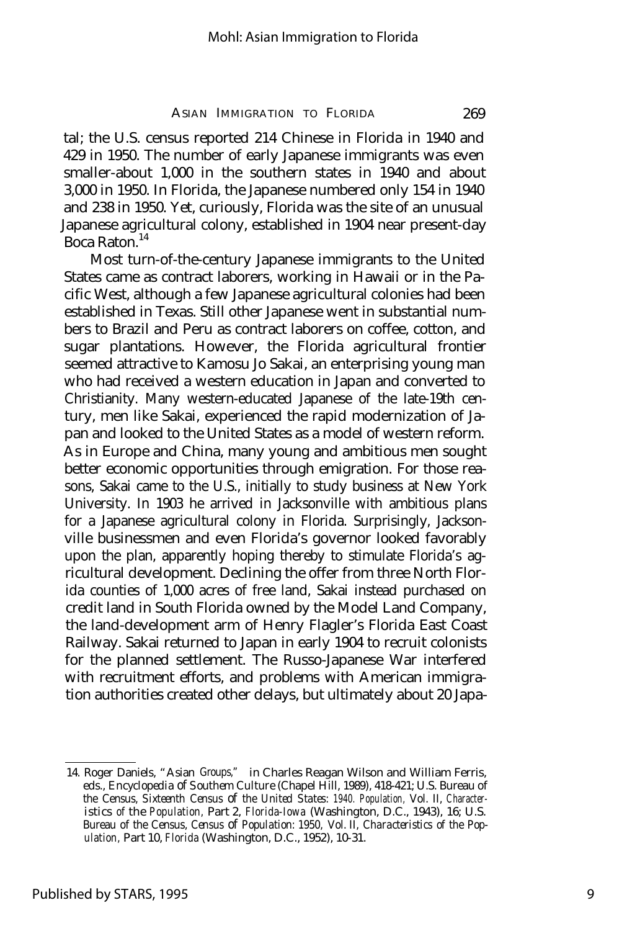tal; the U.S. census reported 214 Chinese in Florida in 1940 and 429 in 1950. The number of early Japanese immigrants was even smaller-about 1,000 in the southern states in 1940 and about 3,000 in 1950. In Florida, the Japanese numbered only 154 in 1940 and 238 in 1950. Yet, curiously, Florida was the site of an unusual Japanese agricultural colony, established in 1904 near present-day Boca Raton.<sup>14</sup>

Most turn-of-the-century Japanese immigrants to the United States came as contract laborers, working in Hawaii or in the Pacific West, although a few Japanese agricultural colonies had been established in Texas. Still other Japanese went in substantial numbers to Brazil and Peru as contract laborers on coffee, cotton, and sugar plantations. However, the Florida agricultural frontier seemed attractive to Kamosu Jo Sakai, an enterprising young man who had received a western education in Japan and converted to Christianity. Many western-educated Japanese of the late-19th century, men like Sakai, experienced the rapid modernization of Japan and looked to the United States as a model of western reform. As in Europe and China, many young and ambitious men sought better economic opportunities through emigration. For those reasons, Sakai came to the U.S., initially to study business at New York University. In 1903 he arrived in Jacksonville with ambitious plans for a Japanese agricultural colony in Florida. Surprisingly, Jacksonville businessmen and even Florida's governor looked favorably upon the plan, apparently hoping thereby to stimulate Florida's agricultural development. Declining the offer from three North Florida counties of 1,000 acres of free land, Sakai instead purchased on credit land in South Florida owned by the Model Land Company, the land-development arm of Henry Flagler's Florida East Coast Railway. Sakai returned to Japan in early 1904 to recruit colonists for the planned settlement. The Russo-Japanese War interfered with recruitment efforts, and problems with American immigration authorities created other delays, but ultimately about 20 Japa-

<sup>14.</sup> Roger Daniels, "Asian Groups," in Charles Reagan Wilson and William Ferris, eds., *Encyclopedia of Southem Culture* (Chapel Hill, 1989), 418-421; U.S. Bureau of the Census, *Sixteenth Census of the United States: 1940. Population,* Vol. II, *Characteristics of the Population,* Part 2, *Florida-Iowa* (Washington, D.C., 1943), 16; U.S. Bureau of the Census, *Census of Population: 1950,* Vol. II, *Characteristics of the Population,* Part 10, *Florida* (Washington, D.C., 1952), 10-31.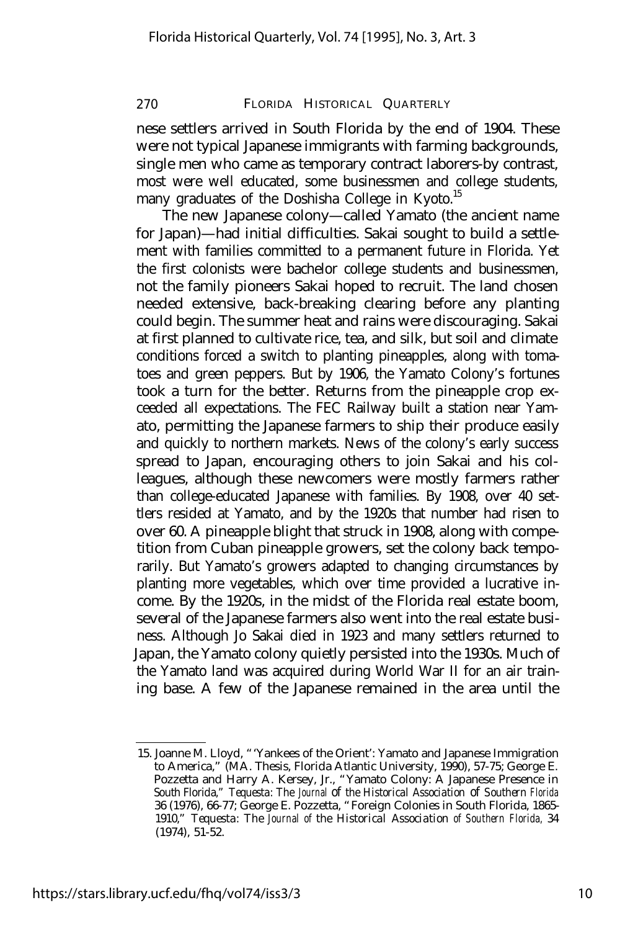nese settlers arrived in South Florida by the end of 1904. These were not typical Japanese immigrants with farming backgrounds, single men who came as temporary contract laborers-by contrast, most were well educated, some businessmen and college students, many graduates of the Doshisha College in Kyoto.<sup>15</sup>

The new Japanese colony— called Yamato (the ancient name for Japan)— had initial difficulties. Sakai sought to build a settlement with families committed to a permanent future in Florida. Yet the first colonists were bachelor college students and businessmen, not the family pioneers Sakai hoped to recruit. The land chosen needed extensive, back-breaking clearing before any planting could begin. The summer heat and rains were discouraging. Sakai at first planned to cultivate rice, tea, and silk, but soil and climate conditions forced a switch to planting pineapples, along with tomatoes and green peppers. But by 1906, the Yamato Colony's fortunes took a turn for the better. Returns from the pineapple crop exceeded all expectations. The FEC Railway built a station near Yamato, permitting the Japanese farmers to ship their produce easily and quickly to northern markets. News of the colony's early success spread to Japan, encouraging others to join Sakai and his colleagues, although these newcomers were mostly farmers rather than college-educated Japanese with families. By 1908, over 40 settlers resided at Yamato, and by the 1920s that number had risen to over 60. A pineapple blight that struck in 1908, along with competition from Cuban pineapple growers, set the colony back temporarily. But Yamato's growers adapted to changing circumstances by planting more vegetables, which over time provided a lucrative income. By the 1920s, in the midst of the Florida real estate boom, several of the Japanese farmers also went into the real estate business. Although Jo Sakai died in 1923 and many settlers returned to Japan, the Yamato colony quietly persisted into the 1930s. Much of the Yamato land was acquired during World War II for an air training base. A few of the Japanese remained in the area until the

<sup>15.</sup> Joanne M. Lloyd, "'Yankees of the Orient': Yamato and Japanese Immigration to America," (MA. Thesis, Florida Atlantic University, 1990), 57-75; George E. Pozzetta and Harry A. Kersey, Jr., "Yamato Colony: A Japanese Presence in South Florida," *Tequesta: The Journal of the Historical Association of Southern Florida* 36 (1976), 66-77; George E. Pozzetta, "Foreign Colonies in South Florida, 1865- 1910," *Tequesta: The Journal of the Historical Association of Southern Florida,* 34 (1974), 51-52.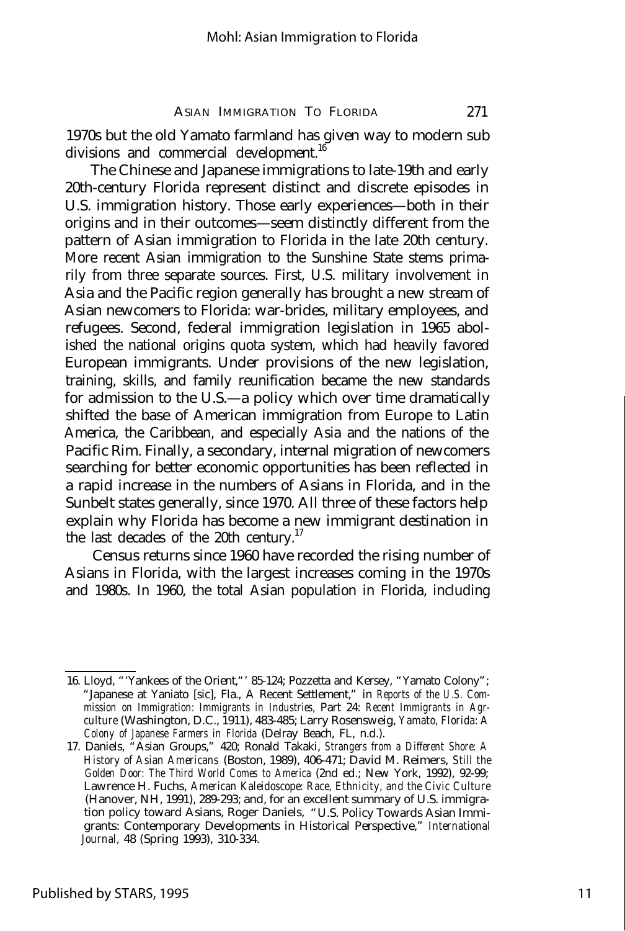1970s but the old Yamato farmland has given way to modern sub divisions and commercial development.<sup>16</sup>

The Chinese and Japanese immigrations to late-19th and early 20th-century Florida represent distinct and discrete episodes in U.S. immigration history. Those early experiences— both in their origins and in their outcomes— seem distinctly different from the pattern of Asian immigration to Florida in the late 20th century. More recent Asian immigration to the Sunshine State stems primarily from three separate sources. First, U.S. military involvement in Asia and the Pacific region generally has brought a new stream of Asian newcomers to Florida: war-brides, military employees, and refugees. Second, federal immigration legislation in 1965 abolished the national origins quota system, which had heavily favored European immigrants. Under provisions of the new legislation, training, skills, and family reunification became the new standards for admission to the U.S.— a policy which over time dramatically shifted the base of American immigration from Europe to Latin America, the Caribbean, and especially Asia and the nations of the Pacific Rim. Finally, a secondary, internal migration of newcomers searching for better economic opportunities has been reflected in a rapid increase in the numbers of Asians in Florida, and in the Sunbelt states generally, since 1970. All three of these factors help explain why Florida has become a new immigrant destination in the last decades of the 20th century.<sup>17</sup>

Census returns since 1960 have recorded the rising number of Asians in Florida, with the largest increases coming in the 1970s and 1980s. In 1960, the total Asian population in Florida, including

<sup>16.</sup> Lloyd, "'Yankees of the Orient,"' 85-124; Pozzetta and Kersey, "Yamato Colony"; "Japanese at Yaniato [sic], Fla., A Recent Settlement," in *Reports of the U.S. Commission on Immigration: Immigrants in Industries,* Part 24: *Recent Immigrants in Agrculture* (Washington, D.C., 1911), 483-485; Larry Rosensweig, *Yamato, Florida: A Colony of Japanese Farmers in Florida* (Delray Beach, FL, n.d.).

<sup>17.</sup> Daniels, "Asian Groups," 420; Ronald Takaki, *Strangers from a Different Shore: A History of Asian Americans* (Boston, 1989), 406-471; David M. Reimers, *Still the Golden Door: The Third World Comes to America* (2nd ed.; New York, 1992), 92-99; Lawrence H. Fuchs, *American Kaleidoscope: Race, Ethnicity, and the Civic Culture* (Hanover, NH, 1991), 289-293; and, for an excellent summary of U.S. immigration policy toward Asians, Roger Daniels, "U.S. Policy Towards Asian Immigrants: Contemporary Developments in Historical Perspective," *International Journal,* 48 (Spring 1993), 310-334.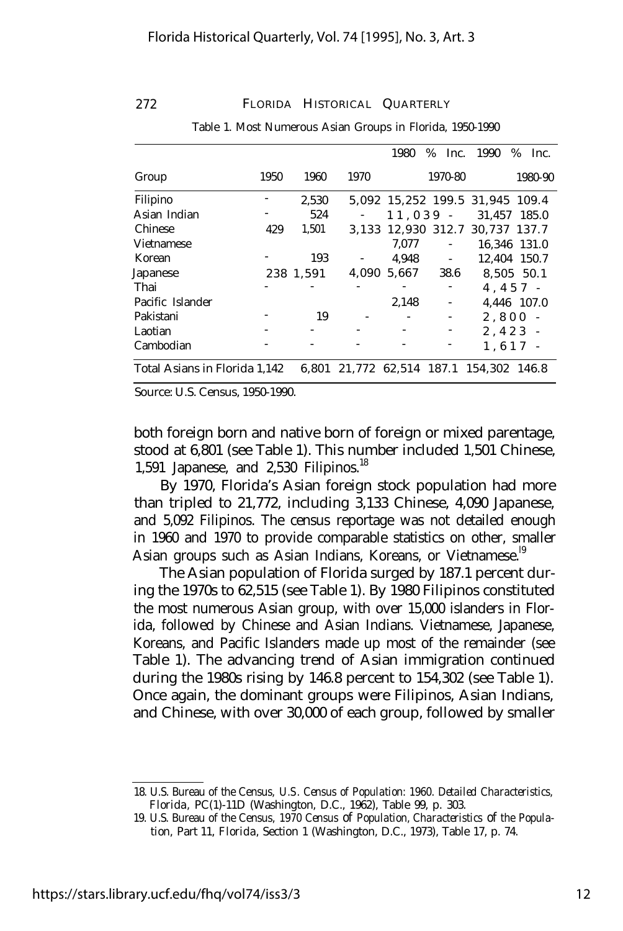|                               |      |           |                                         | 1980                     | $%$ Inc.                 | 1990                            | %<br>Inc.    |
|-------------------------------|------|-----------|-----------------------------------------|--------------------------|--------------------------|---------------------------------|--------------|
| Group                         | 1950 | 1960      | 1970                                    |                          | 1970-80                  |                                 | 1980-90      |
| Filipino                      |      | 2,530     |                                         |                          |                          | 5,092 15,252 199.5 31,945 109.4 |              |
| Asian Indian                  |      | 524       | $\sim$                                  |                          |                          | $11, 039 - 31,457$ 185.0        |              |
| Chinese                       | 429  | 1,501     |                                         |                          |                          | 3,133 12,930 312.7 30,737 137.7 |              |
| <b>Vietnamese</b>             |      |           |                                         | 7,077                    | $\overline{\phantom{a}}$ |                                 | 16.346 131.0 |
| Korean                        |      | 193       | $\sim 100$                              | 4,948                    | $\sim 100$ m $^{-1}$     |                                 | 12.404 150.7 |
| Japanese                      |      | 238 1,591 | 4,090                                   | 5,667                    | 38.6                     |                                 | 8.505 50.1   |
| Thai                          |      |           |                                         |                          |                          | $4.457 -$                       |              |
| Pacific Islander              |      |           |                                         | 2,148                    |                          |                                 | 4,446 107.0  |
| Pakistani                     |      | 19        |                                         | $\overline{\phantom{a}}$ | $\overline{\phantom{a}}$ | $2,800 -$                       |              |
| Laotian                       |      |           |                                         |                          | ٠                        | $2.423 -$                       |              |
| Cambodian                     |      |           |                                         |                          |                          | $1, 617 -$                      |              |
| Total Asians in Florida 1,142 |      |           | 6.801 21.772 62.514 187.1 154.302 146.8 |                          |                          |                                 |              |

Table 1. Most Numerous Asian Groups in Florida, 1950-1990

Source: U.S. Census, 1950-1990.

both foreign born and native born of foreign or mixed parentage, stood at 6,801 (see Table 1). This number included 1,501 Chinese, 1,591 Japanese, and  $2,530$  Filipinos.<sup>18</sup>

By 1970, Florida's Asian foreign stock population had more than tripled to 21,772, including 3,133 Chinese, 4,090 Japanese, and 5,092 Filipinos. The census reportage was not detailed enough in 1960 and 1970 to provide comparable statistics on other, smaller Asian groups such as Asian Indians, Koreans, or Vietnamese.<sup>19</sup>

The Asian population of Florida surged by 187.1 percent during the 1970s to 62,515 (see Table 1). By 1980 Filipinos constituted the most numerous Asian group, with over 15,000 islanders in Florida, followed by Chinese and Asian Indians. Vietnamese, Japanese, Koreans, and Pacific Islanders made up most of the remainder (see Table 1). The advancing trend of Asian immigration continued during the 1980s rising by 146.8 percent to 154,302 (see Table 1). Once again, the dominant groups were Filipinos, Asian Indians, and Chinese, with over 30,000 of each group, followed by smaller

<sup>18.</sup> U.S. Bureau of the Census, *U.S. Census of Population: 1960. Detailed Characteristics, Florida,* PC(1)-11D (Washington, D.C., 1962), Table 99, p. 303.

<sup>19.</sup> U.S. Bureau of the Census, *1970 Census of Population, Characteristics of the Population,* Part 11, *Florida,* Section 1 (Washington, D.C., 1973), Table 17, p. 74.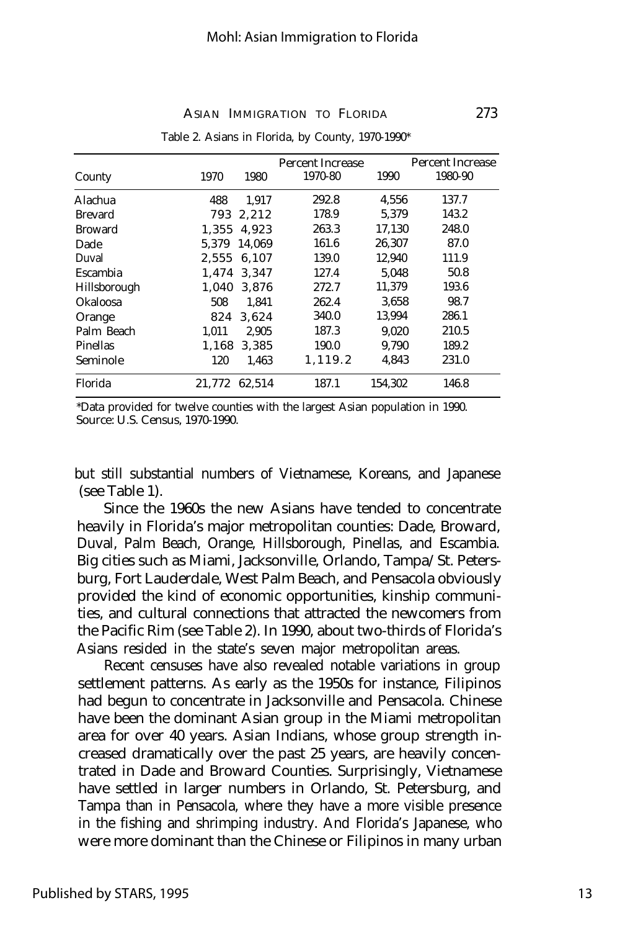| County         | 1970   | 1980   | <b>Percent Increase</b><br>1970-80 | 1990    | <b>Percent Increase</b><br>1980-90 |
|----------------|--------|--------|------------------------------------|---------|------------------------------------|
| Alachua        | 488    | 1.917  | 292.8                              | 4,556   | 137.7                              |
| <b>Brevard</b> | 793    | 2,212  | 178.9                              | 5.379   | 143.2                              |
| <b>Broward</b> | 1.355  | 4.923  | 263.3                              | 17,130  | 248.0                              |
| Dade           | 5.379  | 14.069 | 161.6                              | 26.307  | 87.0                               |
| Duval          | 2.555  | 6.107  | 139.0                              | 12.940  | 111.9                              |
| Escambia       | 1.474  | 3.347  | 127.4                              | 5.048   | 50.8                               |
| Hillsborough   | 1.040  | 3.876  | 272.7                              | 11.379  | 193.6                              |
| Okaloosa       | 508    | 1.841  | 262.4                              | 3,658   | 98.7                               |
| Orange         | 824    | 3.624  | 340.0                              | 13.994  | 286.1                              |
| Palm Beach     | 1.011  | 2.905  | 187.3                              | 9.020   | 210.5                              |
| Pinellas       | 1,168  | 3,385  | 190.0                              | 9,790   | 189.2                              |
| Seminole       | 120    | 1.463  | 1.119.2                            | 4.843   | 231.0                              |
| Florida        | 21.772 | 62.514 | 187.1                              | 154.302 | 146.8                              |

#### Table 2. Asians in Florida, by County, 1970-1990\*

\*Data provided for twelve counties with the largest Asian population in 1990. Source: U.S. Census, 1970-1990.

but still substantial numbers of Vietnamese, Koreans, and Japanese (see Table 1).

Since the 1960s the new Asians have tended to concentrate heavily in Florida's major metropolitan counties: Dade, Broward, Duval, Palm Beach, Orange, Hillsborough, Pinellas, and Escambia. Big cities such as Miami, Jacksonville, Orlando, Tampa/St. Petersburg, Fort Lauderdale, West Palm Beach, and Pensacola obviously provided the kind of economic opportunities, kinship communities, and cultural connections that attracted the newcomers from the Pacific Rim (see Table 2). In 1990, about two-thirds of Florida's Asians resided in the state's seven major metropolitan areas.

Recent censuses have also revealed notable variations in group settlement patterns. As early as the 1950s for instance, Filipinos had begun to concentrate in Jacksonville and Pensacola. Chinese have been the dominant Asian group in the Miami metropolitan area for over 40 years. Asian Indians, whose group strength increased dramatically over the past 25 years, are heavily concentrated in Dade and Broward Counties. Surprisingly, Vietnamese have settled in larger numbers in Orlando, St. Petersburg, and Tampa than in Pensacola, where they have a more visible presence in the fishing and shrimping industry. And Florida's Japanese, who were more dominant than the Chinese or Filipinos in many urban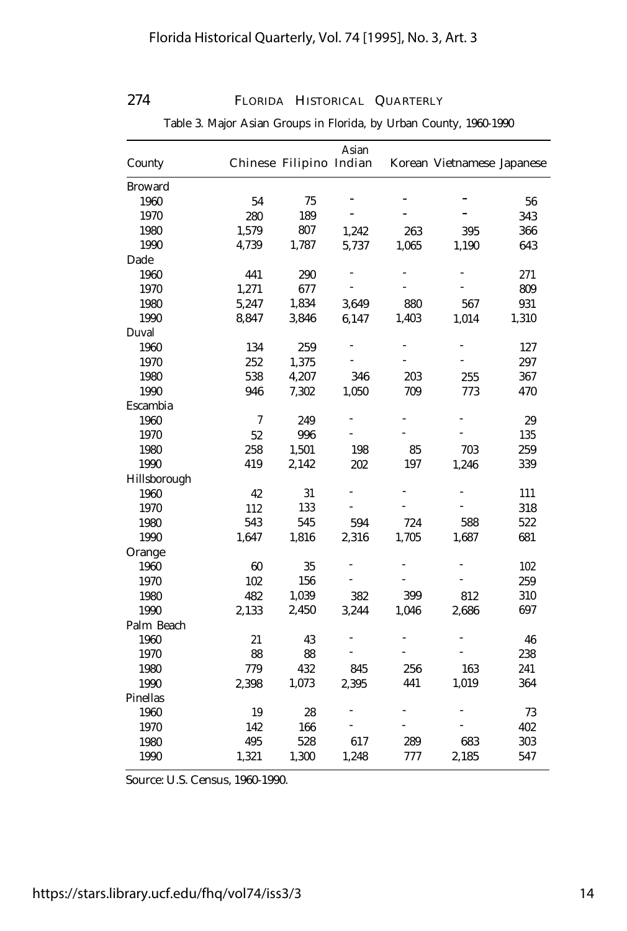| Asian          |       |                         |       |       |                            |       |  |
|----------------|-------|-------------------------|-------|-------|----------------------------|-------|--|
| County         |       | Chinese Filipino Indian |       |       | Korean Vietnamese Japanese |       |  |
| <b>Broward</b> |       |                         |       |       |                            |       |  |
| 1960           | 54    | 75                      |       |       |                            | 56    |  |
| 1970           | 280   | 189                     |       |       |                            | 343   |  |
| 1980           | 1,579 | 807                     | 1,242 | 263   | 395                        | 366   |  |
| 1990           | 4,739 | 1,787                   | 5,737 | 1,065 | 1,190                      | 643   |  |
| Dade           |       |                         |       |       |                            |       |  |
| 1960           | 441   | 290                     |       |       |                            | 271   |  |
| 1970           | 1,271 | 677                     |       |       |                            | 809   |  |
| 1980           | 5,247 | 1,834                   | 3,649 | 880   | 567                        | 931   |  |
| 1990           | 8,847 | 3,846                   | 6,147 | 1,403 | 1,014                      | 1,310 |  |
| Duval          |       |                         |       |       |                            |       |  |
| 1960           | 134   | 259                     |       |       |                            | 127   |  |
| 1970           | 252   | 1,375                   |       |       |                            | 297   |  |
| 1980           | 538   | 4,207                   | 346   | 203   | 255                        | 367   |  |
| 1990           | 946   | 7,302                   | 1,050 | 709   | 773                        | 470   |  |
| Escambia       |       |                         |       |       |                            |       |  |
| 1960           | 7     | 249                     |       |       |                            | 29    |  |
| 1970           | 52    | 996                     |       |       |                            | 135   |  |
| 1980           | 258   | 1,501                   | 198   | 85    | 703                        | 259   |  |
| 1990           | 419   | 2,142                   | 202   | 197   | 1,246                      | 339   |  |
| Hillsborough   |       |                         |       |       |                            |       |  |
| 1960           | 42    | 31                      |       |       | $\overline{a}$             | 111   |  |
| 1970           | 112   | 133                     |       |       |                            | 318   |  |
| 1980           | 543   | 545                     | 594   | 724   | 588                        | 522   |  |
| 1990           | 1,647 | 1,816                   | 2,316 | 1,705 | 1,687                      | 681   |  |
| Orange         |       |                         |       |       |                            |       |  |
| 1960           | 60    | 35                      |       |       |                            | 102   |  |
| 1970           | 102   | 156                     |       |       |                            | 259   |  |
| 1980           | 482   | 1,039                   | 382   | 399   | 812                        | 310   |  |
| 1990           | 2,133 | 2,450                   | 3,244 | 1,046 | 2,686                      | 697   |  |
| Palm Beach     |       |                         |       |       |                            |       |  |
| 1960           | 21    | 43                      |       |       |                            | 46    |  |
| 1970           | 88    | 88                      |       |       |                            | 238   |  |
| 1980           | 779   | 432                     | 845   | 256   | 163                        | 241   |  |
| 1990           | 2,398 | 1,073                   | 2,395 | 441   | 1,019                      | 364   |  |
| Pinellas       |       |                         |       |       |                            |       |  |
| 1960           | 19    | 28                      |       |       |                            | 73    |  |
| 1970           | 142   | 166                     |       |       |                            | 402   |  |
| 1980           | 495   | 528                     | 617   | 289   | 683                        | 303   |  |
| 1990           | 1,321 | 1,300                   | 1,248 | 777   | 2,185                      | 547   |  |

Table 3. Major Asian Groups in Florida, by Urban County, 1960-1990

Source: U.S. Census, 1960-1990.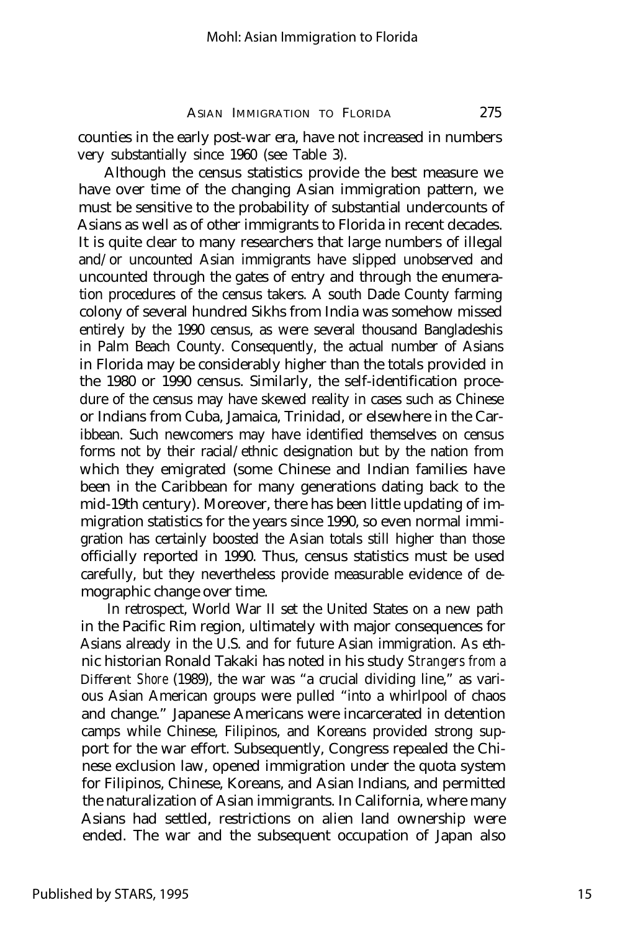counties in the early post-war era, have not increased in numbers very substantially since 1960 (see Table 3).

Although the census statistics provide the best measure we have over time of the changing Asian immigration pattern, we must be sensitive to the probability of substantial undercounts of Asians as well as of other immigrants to Florida in recent decades. It is quite clear to many researchers that large numbers of illegal and/or uncounted Asian immigrants have slipped unobserved and uncounted through the gates of entry and through the enumeration procedures of the census takers. A south Dade County farming colony of several hundred Sikhs from India was somehow missed entirely by the 1990 census, as were several thousand Bangladeshis in Palm Beach County. Consequently, the actual number of Asians in Florida may be considerably higher than the totals provided in the 1980 or 1990 census. Similarly, the self-identification procedure of the census may have skewed reality in cases such as Chinese or Indians from Cuba, Jamaica, Trinidad, or elsewhere in the Caribbean. Such newcomers may have identified themselves on census forms not by their racial/ethnic designation but by the nation from which they emigrated (some Chinese and Indian families have been in the Caribbean for many generations dating back to the mid-19th century). Moreover, there has been little updating of immigration statistics for the years since 1990, so even normal immigration has certainly boosted the Asian totals still higher than those officially reported in 1990. Thus, census statistics must be used carefully, but they nevertheless provide measurable evidence of demographic change over time.

In retrospect, World War II set the United States on a new path in the Pacific Rim region, ultimately with major consequences for Asians already in the U.S. and for future Asian immigration. As ethnic historian Ronald Takaki has noted in his study *Strangers from a Different Shore* (1989), the war was "a crucial dividing line," as various Asian American groups were pulled "into a whirlpool of chaos and change." Japanese Americans were incarcerated in detention camps while Chinese, Filipinos, and Koreans provided strong support for the war effort. Subsequently, Congress repealed the Chinese exclusion law, opened immigration under the quota system for Filipinos, Chinese, Koreans, and Asian Indians, and permitted the naturalization of Asian immigrants. In California, where many Asians had settled, restrictions on alien land ownership were ended. The war and the subsequent occupation of Japan also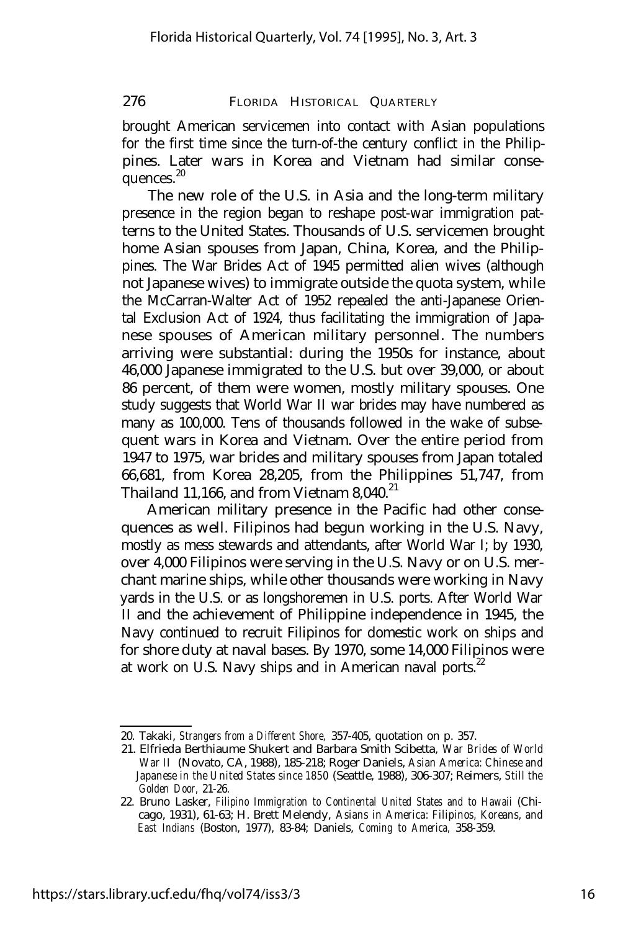brought American servicemen into contact with Asian populations for the first time since the turn-of-the century conflict in the Philippines. Later wars in Korea and Vietnam had similar consequences.<sup>20</sup>

The new role of the U.S. in Asia and the long-term military presence in the region began to reshape post-war immigration patterns to the United States. Thousands of U.S. servicemen brought home Asian spouses from Japan, China, Korea, and the Philippines. The War Brides Act of 1945 permitted alien wives (although not Japanese wives) to immigrate outside the quota system, while the McCarran-Walter Act of 1952 repealed the anti-Japanese Oriental Exclusion Act of 1924, thus facilitating the immigration of Japanese spouses of American military personnel. The numbers arriving were substantial: during the 1950s for instance, about 46,000 Japanese immigrated to the U.S. but over 39,000, or about 86 percent, of them were women, mostly military spouses. One study suggests that World War II war brides may have numbered as many as 100,000. Tens of thousands followed in the wake of subsequent wars in Korea and Vietnam. Over the entire period from 1947 to 1975, war brides and military spouses from Japan totaled 66,681, from Korea 28,205, from the Philippines 51,747, from Thailand 11,166, and from Vietnam  $8,040$ <sup>21</sup>

American military presence in the Pacific had other consequences as well. Filipinos had begun working in the U.S. Navy, mostly as mess stewards and attendants, after World War I; by 1930, over 4,000 Filipinos were serving in the U.S. Navy or on U.S. merchant marine ships, while other thousands were working in Navy yards in the U.S. or as longshoremen in U.S. ports. After World War II and the achievement of Philippine independence in 1945, the Navy continued to recruit Filipinos for domestic work on ships and for shore duty at naval bases. By 1970, some 14,000 Filipinos were at work on U.S. Navy ships and in American naval ports.<sup>22</sup>

<sup>20.</sup> Takaki, *Strangers from a Different Shore,* 357-405, quotation on p. 357.

<sup>21.</sup> Elfrieda Berthiaume Shukert and Barbara Smith Scibetta, *War Brides of World War II* (Novato, CA, 1988), 185-218; Roger Daniels, *Asian America: Chinese and Japanese in the United States since 1850* (Seattle, 1988), 306-307; Reimers, *Still the Golden Door,* 21-26.

<sup>22.</sup> Bruno Lasker, *Filipino Immigration to Continental United States and to Hawaii* (Chicago, 1931), 61-63; H. Brett Melendy, *Asians in America: Filipinos, Koreans, and East Indians* (Boston, 1977), 83-84; Daniels, *Coming to America,* 358-359.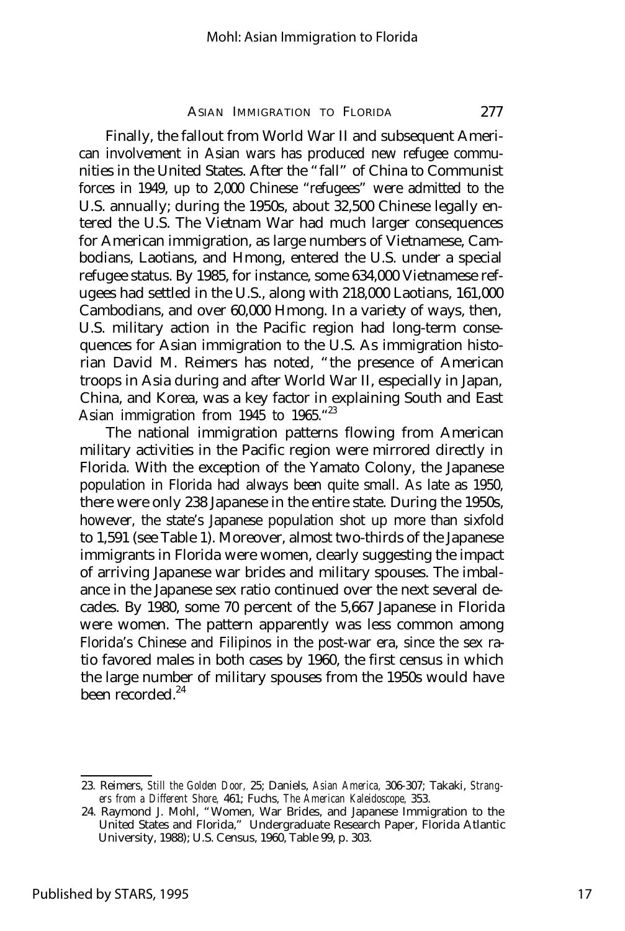Finally, the fallout from World War II and subsequent American involvement in Asian wars has produced new refugee communities in the United States. After the "fall" of China to Communist forces in 1949, up to 2,000 Chinese "refugees" were admitted to the U.S. annually; during the 1950s, about 32,500 Chinese legally entered the U.S. The Vietnam War had much larger consequences for American immigration, as large numbers of Vietnamese, Cambodians, Laotians, and Hmong, entered the U.S. under a special refugee status. By 1985, for instance, some 634,000 Vietnamese refugees had settled in the U.S., along with 218,000 Laotians, 161,000 Cambodians, and over 60,000 Hmong. In a variety of ways, then, U.S. military action in the Pacific region had long-term consequences for Asian immigration to the U.S. As immigration historian David M. Reimers has noted, "the presence of American troops in Asia during and after World War II, especially in Japan, China, and Korea, was a key factor in explaining South and East Asian immigration from 1945 to 1965."<sup>23</sup>

The national immigration patterns flowing from American military activities in the Pacific region were mirrored directly in Florida. With the exception of the Yamato Colony, the Japanese population in Florida had always been quite small. As late as 1950, there were only 238 Japanese in the entire state. During the 1950s, however, the state's Japanese population shot up more than sixfold to 1,591 (see Table 1). Moreover, almost two-thirds of the Japanese immigrants in Florida were women, clearly suggesting the impact of arriving Japanese war brides and military spouses. The imbalance in the Japanese sex ratio continued over the next several decades. By 1980, some 70 percent of the 5,667 Japanese in Florida were women. The pattern apparently was less common among Florida's Chinese and Filipinos in the post-war era, since the sex ratio favored males in both cases by 1960, the first census in which the large number of military spouses from the 1950s would have been recorded.<sup>24</sup>

<sup>23.</sup> Reimers, *Still the Golden Door,* 25; Daniels, *Asian America,* 306-307; Takaki, *Strangers from a Different Shore,* 461; Fuchs, *The American Kaleidoscope,* 353.

<sup>24.</sup> Raymond J. Mohl, "Women, War Brides, and Japanese Immigration to the United States and Florida," Undergraduate Research Paper, Florida Atlantic University, 1988); U.S. Census, 1960, Table 99, p. 303.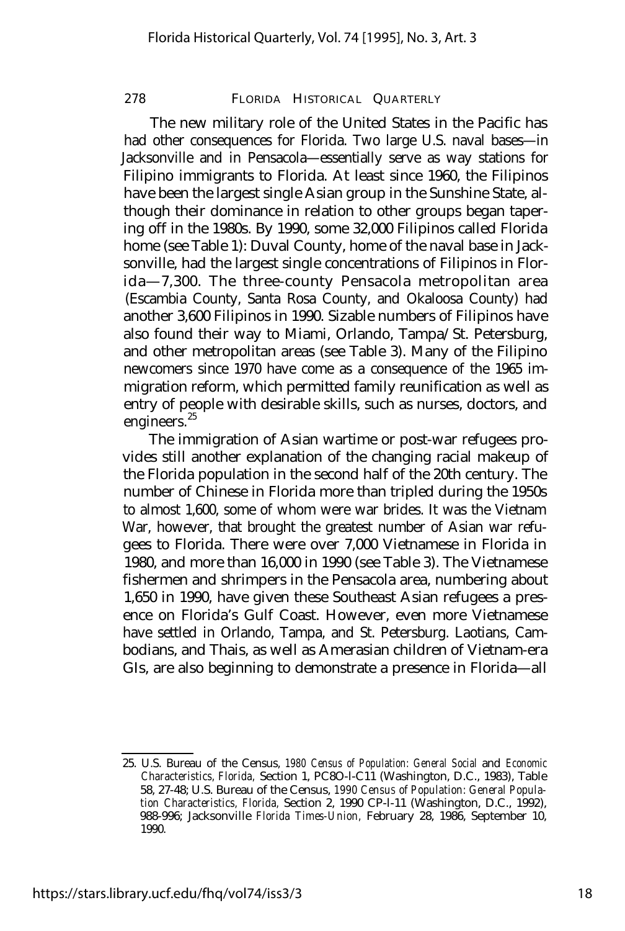The new military role of the United States in the Pacific has had other consequences for Florida. Two large U.S. naval bases- in Jacksonville and in Pensacola— essentially serve as way stations for Filipino immigrants to Florida. At least since 1960, the Filipinos have been the largest single Asian group in the Sunshine State, although their dominance in relation to other groups began tapering off in the 1980s. By 1990, some 32,000 Filipinos called Florida home (see Table 1): Duval County, home of the naval base in Jacksonville, had the largest single concentrations of Filipinos in Florida— 7,300. The three-county Pensacola metropolitan area (Escambia County, Santa Rosa County, and Okaloosa County) had another 3,600 Filipinos in 1990. Sizable numbers of Filipinos have also found their way to Miami, Orlando, Tampa/St. Petersburg, and other metropolitan areas (see Table 3). Many of the Filipino newcomers since 1970 have come as a consequence of the 1965 immigration reform, which permitted family reunification as well as entry of people with desirable skills, such as nurses, doctors, and engineers.<sup>25</sup>

The immigration of Asian wartime or post-war refugees provides still another explanation of the changing racial makeup of the Florida population in the second half of the 20th century. The number of Chinese in Florida more than tripled during the 1950s to almost 1,600, some of whom were war brides. It was the Vietnam War, however, that brought the greatest number of Asian war refugees to Florida. There were over 7,000 Vietnamese in Florida in 1980, and more than 16,000 in 1990 (see Table 3). The Vietnamese fishermen and shrimpers in the Pensacola area, numbering about 1,650 in 1990, have given these Southeast Asian refugees a presence on Florida's Gulf Coast. However, even more Vietnamese have settled in Orlando, Tampa, and St. Petersburg. Laotians, Cambodians, and Thais, as well as Amerasian children of Vietnam-era GIs, are also beginning to demonstrate a presence in Florida— all

<sup>25.</sup> U.S. Bureau of the Census, *1980 Census of Population: General Social* and *Economic Characteristics, Florida,* Section 1, PC8O-l-C11 (Washington, D.C., 1983), Table 58, 27-48; U.S. Bureau of the Census, *1990 CensuS of Population: General Population Characteristics, Florida,* Section 2, 1990 CP-l-11 (Washington, D.C., 1992), 988-996; Jacksonville *Florida Times-Union,* February 28, 1986, September 10, 1990.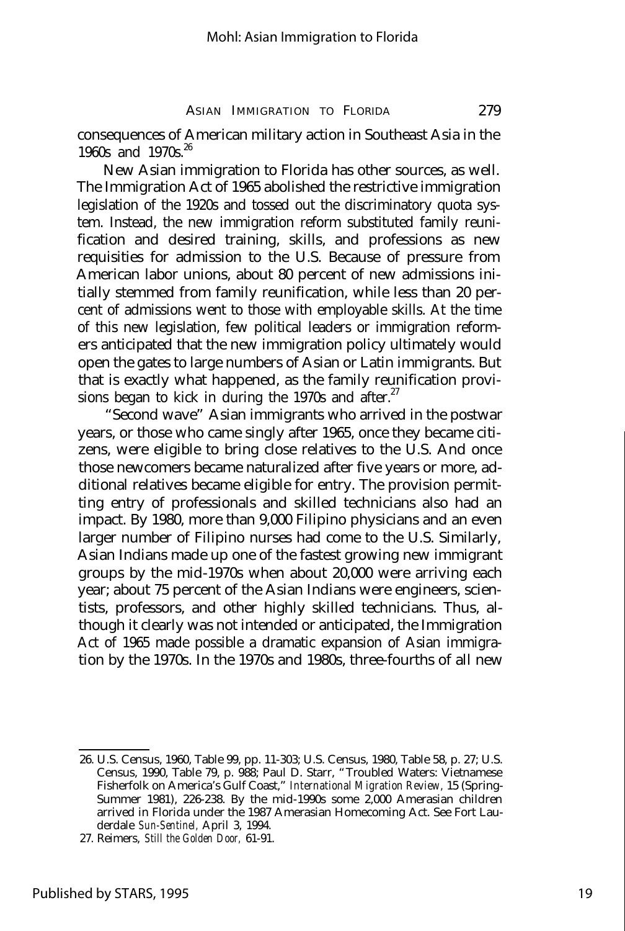consequences of American military action in Southeast Asia in the 1960s and 1970s.  $26$ 

New Asian immigration to Florida has other sources, as well. The Immigration Act of 1965 abolished the restrictive immigration legislation of the 1920s and tossed out the discriminatory quota system. Instead, the new immigration reform substituted family reunification and desired training, skills, and professions as new requisities for admission to the U.S. Because of pressure from American labor unions, about 80 percent of new admissions initially stemmed from family reunification, while less than 20 percent of admissions went to those with employable skills. At the time of this new legislation, few political leaders or immigration reformers anticipated that the new immigration policy ultimately would open the gates to large numbers of Asian or Latin immigrants. But that is exactly what happened, as the family reunification provisions began to kick in during the 1970s and after. $27$ 

"Second wave" Asian immigrants who arrived in the postwar years, or those who came singly after 1965, once they became citizens, were eligible to bring close relatives to the U.S. And once those newcomers became naturalized after five years or more, additional relatives became eligible for entry. The provision permitting entry of professionals and skilled technicians also had an impact. By 1980, more than 9,000 Filipino physicians and an even larger number of Filipino nurses had come to the U.S. Similarly, Asian Indians made up one of the fastest growing new immigrant groups by the mid-1970s when about 20,000 were arriving each year; about 75 percent of the Asian Indians were engineers, scientists, professors, and other highly skilled technicians. Thus, although it clearly was not intended or anticipated, the Immigration Act of 1965 made possible a dramatic expansion of Asian immigration by the 1970s. In the 1970s and 1980s, three-fourths of all new

<sup>26.</sup> U.S. Census, 1960, Table 99, pp. 11-303; U.S. Census, 1980, Table 58, p. 27; U.S. Census, 1990, Table 79, p. 988; Paul D. Starr, "Troubled Waters: Vietnamese Fisherfolk on America's Gulf Coast," *International Migration Review,* 15 (Spring-Summer 1981), 226-238. By the mid-1990s some 2,000 Amerasian children arrived in Florida under the 1987 Amerasian Homecoming Act. See Fort Lauderdale *Sun-Sentinel,* April 3, 1994.

<sup>27.</sup> Reimers, *Still the Golden Door,* 61-91.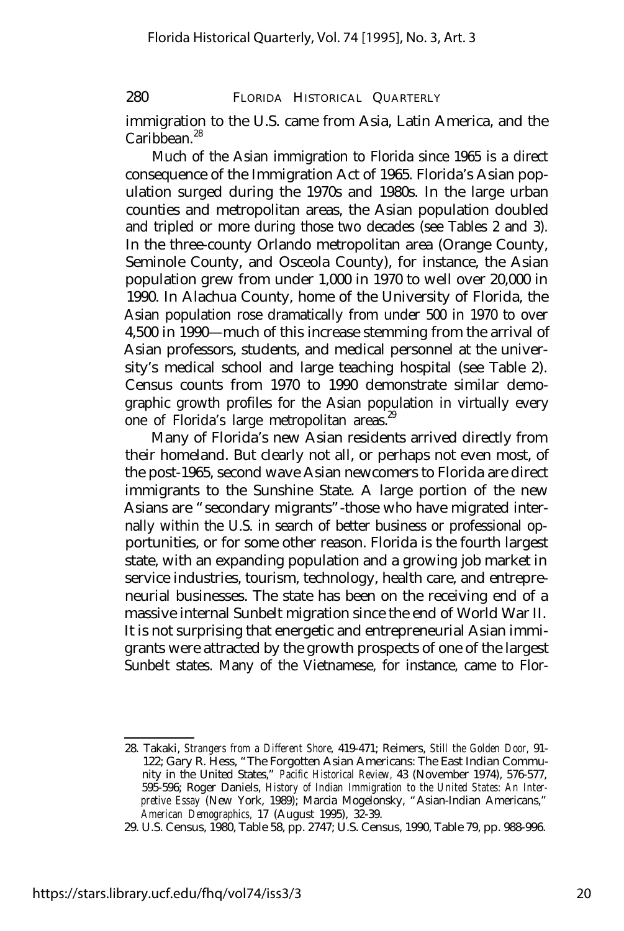immigration to the U.S. came from Asia, Latin America, and the Caribbean. $^{28}$ 

Much of the Asian immigration to Florida since 1965 is a direct consequence of the Immigration Act of 1965. Florida's Asian population surged during the 1970s and 1980s. In the large urban counties and metropolitan areas, the Asian population doubled and tripled or more during those two decades (see Tables 2 and 3). In the three-county Orlando metropolitan area (Orange County, Seminole County, and Osceola County), for instance, the Asian population grew from under 1,000 in 1970 to well over 20,000 in 1990. In Alachua County, home of the University of Florida, the Asian population rose dramatically from under 500 in 1970 to over 4,500 in 1990— much of this increase stemming from the arrival of Asian professors, students, and medical personnel at the university's medical school and large teaching hospital (see Table 2). Census counts from 1970 to 1990 demonstrate similar demographic growth profiles for the Asian population in virtually every one of Florida's large metropolitan areas.<sup>29</sup>

Many of Florida's new Asian residents arrived directly from their homeland. But clearly not all, or perhaps not even most, of the post-1965, second wave Asian newcomers to Florida are direct immigrants to the Sunshine State. A large portion of the new Asians are "secondary migrants"-those who have migrated internally within the U.S. in search of better business or professional opportunities, or for some other reason. Florida is the fourth largest state, with an expanding population and a growing job market in service industries, tourism, technology, health care, and entrepreneurial businesses. The state has been on the receiving end of a massive internal Sunbelt migration since the end of World War II. It is not surprising that energetic and entrepreneurial Asian immigrants were attracted by the growth prospects of one of the largest Sunbelt states. Many of the Vietnamese, for instance, came to Flor-

<sup>28.</sup> Takaki, *Strangers from a Different Shore,* 419-471; Reimers, *Still the Golden Door,* 91- 122; Gary R. Hess, "The Forgotten Asian Americans: The East Indian Community in the United States," *Pacific Historical Review,* 43 (November 1974), 576-577, 595-596; Roger Daniels, *History of Indian Immigration to the United States: An Interpretive Essay* (New York, 1989); Marcia Mogelonsky, "Asian-Indian Americans," *American Demographics,* 17 (August 1995), 32-39.

<sup>29.</sup> U.S. Census, 1980, Table 58, pp. 2747; U.S. Census, 1990, Table 79, pp. 988-996.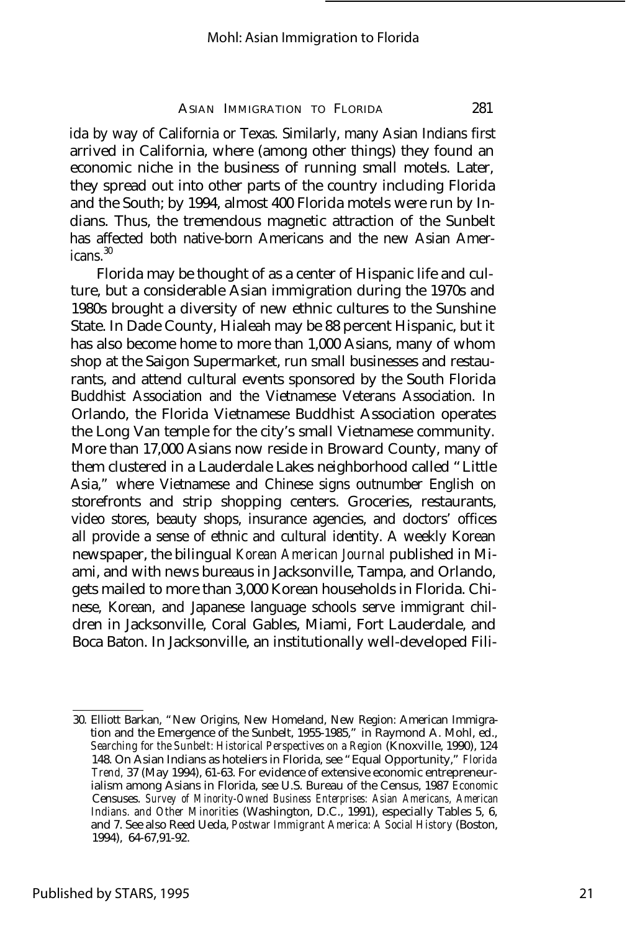ida by way of California or Texas. Similarly, many Asian Indians first arrived in California, where (among other things) they found an economic niche in the business of running small motels. Later, they spread out into other parts of the country including Florida and the South; by 1994, almost 400 Florida motels were run by Indians. Thus, the tremendous magnetic attraction of the Sunbelt has affected both native-born Americans and the new Asian Amer $i$ cans $\frac{30}{2}$ 

Florida may be thought of as a center of Hispanic life and culture, but a considerable Asian immigration during the 1970s and 1980s brought a diversity of new ethnic cultures to the Sunshine State. In Dade County, Hialeah may be 88 percent Hispanic, but it has also become home to more than 1,000 Asians, many of whom shop at the Saigon Supermarket, run small businesses and restaurants, and attend cultural events sponsored by the South Florida Buddhist Association and the Vietnamese Veterans Association. In Orlando, the Florida Vietnamese Buddhist Association operates the Long Van temple for the city's small Vietnamese community. More than 17,000 Asians now reside in Broward County, many of them clustered in a Lauderdale Lakes neighborhood called "Little Asia," where Vietnamese and Chinese signs outnumber English on storefronts and strip shopping centers. Groceries, restaurants, video stores, beauty shops, insurance agencies, and doctors' offices all provide a sense of ethnic and cultural identity. A weekly Korean newspaper, the bilingual *Korean American Journal* published in Miami, and with news bureaus in Jacksonville, Tampa, and Orlando, gets mailed to more than 3,000 Korean households in Florida. Chinese, Korean, and Japanese language schools serve immigrant children in Jacksonville, Coral Gables, Miami, Fort Lauderdale, and Boca Baton. In Jacksonville, an institutionally well-developed Fili-

<sup>30.</sup> Elliott Barkan, "New Origins, New Homeland, New Region: American Immigration and the Emergence of the Sunbelt, 1955-1985," in Raymond A. Mohl, ed., *Searching for the Sunbelt: Historical Perspectives on a Region* (Knoxville, 1990), 124 148. On Asian Indians as hoteliers in Florida, see "Equal Opportunity," *Florida Trend,* 37 (May 1994), 61-63. For evidence of extensive economic entrepreneurialism among Asians in Florida, see U.S. Bureau of the Census, 1987 *Economic* Censuses. *Survey of Minority-Owned Business Enterprises: Asian Americans, American Indians. and Other Minorities* (Washington, D.C., 1991), especially Tables 5, 6, and 7. See also Reed Ueda, *Postwar Immigrant America: A Social History* (Boston, 1994), 64-67,91-92.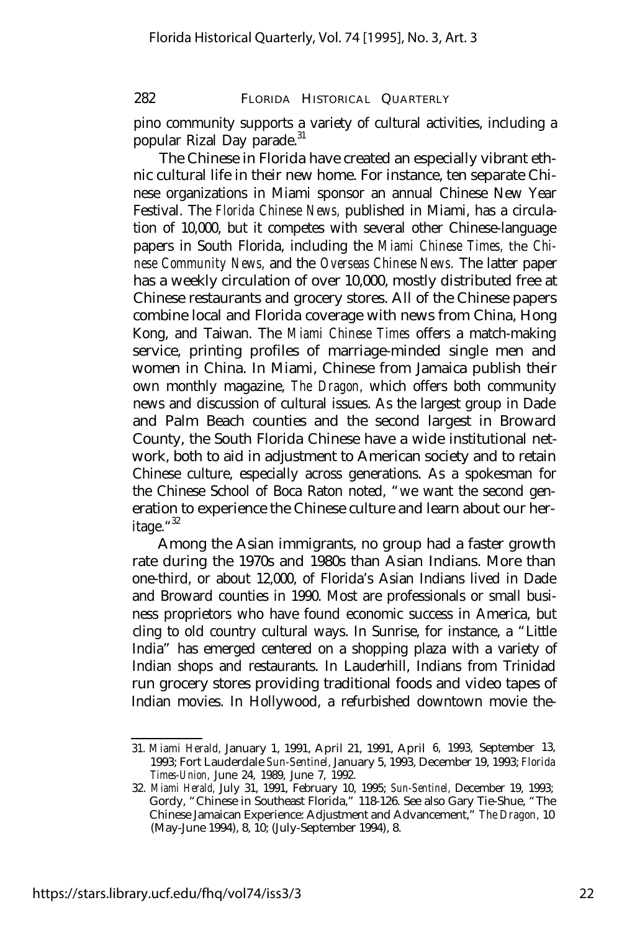pino community supports a variety of cultural activities, including a popular Rizal Day parade.<sup>31</sup>

The Chinese in Florida have created an especially vibrant ethnic cultural life in their new home. For instance, ten separate Chinese organizations in Miami sponsor an annual Chinese New Year Festival. The *Florida Chinese News,* published in Miami, has a circulation of 10,000, but it competes with several other Chinese-language papers in South Florida, including the *Miami Chinese Times,* the *Chinese Community News,* and the *Overseas Chinese News.* The latter paper has a weekly circulation of over 10,000, mostly distributed free at Chinese restaurants and grocery stores. All of the Chinese papers combine local and Florida coverage with news from China, Hong Kong, and Taiwan. The *Miami Chinese Times* offers a match-making service, printing profiles of marriage-minded single men and women in China. In Miami, Chinese from Jamaica publish their own monthly magazine, *The Dragon,* which offers both community news and discussion of cultural issues. As the largest group in Dade and Palm Beach counties and the second largest in Broward County, the South Florida Chinese have a wide institutional network, both to aid in adjustment to American society and to retain Chinese culture, especially across generations. As a spokesman for the Chinese School of Boca Raton noted, "we want the second generation to experience the Chinese culture and learn about our heritage."<sup>32</sup>

Among the Asian immigrants, no group had a faster growth rate during the 1970s and 1980s than Asian Indians. More than one-third, or about 12,000, of Florida's Asian Indians lived in Dade and Broward counties in 1990. Most are professionals or small business proprietors who have found economic success in America, but cling to old country cultural ways. In Sunrise, for instance, a "Little India" has emerged centered on a shopping plaza with a variety of Indian shops and restaurants. In Lauderhill, Indians from Trinidad run grocery stores providing traditional foods and video tapes of Indian movies. In Hollywood, a refurbished downtown movie the-

<sup>31.</sup> *Miami Herald,* January 1, 1991, April 21, 1991, April 6, 1993, September 13, 1993; Fort Lauderdale *Sun-Sentinel,* January 5, 1993, December 19, 1993; *Florida Times-Union,* June 24, 1989, June 7, 1992.

<sup>32.</sup> *Miami Herald,* July 31, 1991, February 10, 1995; *Sun-Sentinel,* December 19, 1993; Gordy, "Chinese in Southeast Florida," 118-126. See also Gary Tie-Shue, "The Chinese Jamaican Experience: Adjustment and Advancement," *The Dragon,* 10 (May-June 1994), 8, 10; (July-September 1994), 8.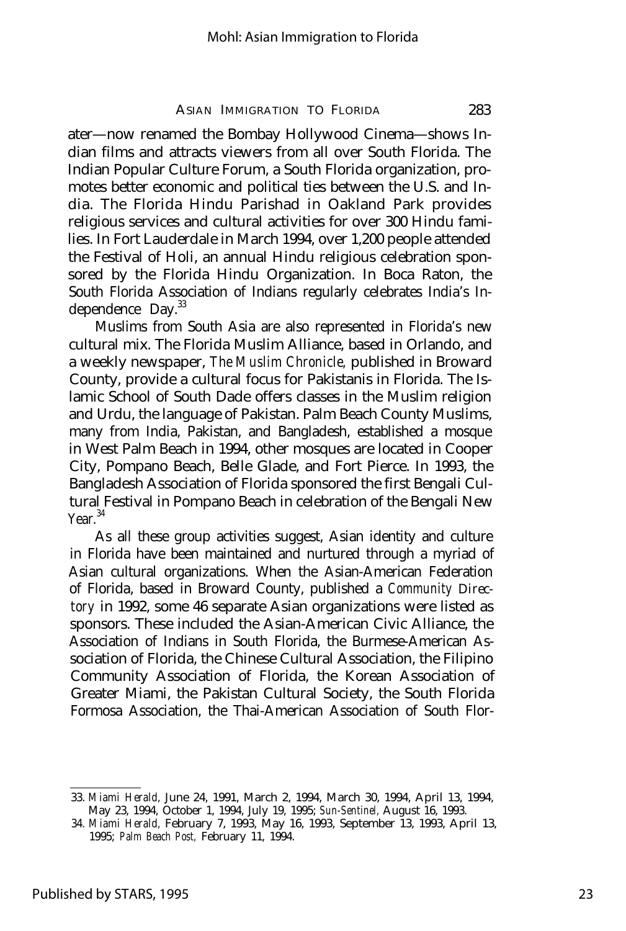ater— now renamed the Bombay Hollywood Cinema— shows Indian films and attracts viewers from all over South Florida. The Indian Popular Culture Forum, a South Florida organization, promotes better economic and political ties between the U.S. and India. The Florida Hindu Parishad in Oakland Park provides religious services and cultural activities for over 300 Hindu families. In Fort Lauderdale in March 1994, over 1,200 people attended the Festival of Holi, an annual Hindu religious celebration sponsored by the Florida Hindu Organization. In Boca Raton, the South Florida Association of Indians regularly celebrates India's Independence Day.<sup>33</sup>

Muslims from South Asia are also represented in Florida's new cultural mix. The Florida Muslim Alliance, based in Orlando, and a weekly newspaper, *The Muslim Chronicle,* published in Broward County, provide a cultural focus for Pakistanis in Florida. The Islamic School of South Dade offers classes in the Muslim religion and Urdu, the language of Pakistan. Palm Beach County Muslims, many from India, Pakistan, and Bangladesh, established a mosque in West Palm Beach in 1994, other mosques are located in Cooper City, Pompano Beach, Belle Glade, and Fort Pierce. In 1993, the Bangladesh Association of Florida sponsored the first Bengali Cultural Festival in Pompano Beach in celebration of the Bengali New  $Y<sub>Par</sub>$ <sup>34</sup>

As all these group activities suggest, Asian identity and culture in Florida have been maintained and nurtured through a myriad of Asian cultural organizations. When the Asian-American Federation of Florida, based in Broward County, published a *Community Directory* in 1992, some 46 separate Asian organizations were listed as sponsors. These included the Asian-American Civic Alliance, the Association of Indians in South Florida, the Burmese-American Association of Florida, the Chinese Cultural Association, the Filipino Community Association of Florida, the Korean Association of Greater Miami, the Pakistan Cultural Society, the South Florida Formosa Association, the Thai-American Association of South Flor-

<sup>33.</sup> *Miami Herald,* June 24, 1991, March 2, 1994, March 30, 1994, April 13, 1994, May 23, 1994, October 1, 1994, July 19, 1995; *Sun-Sentinel,* August 16, 1993.

<sup>34.</sup> *Miami Herald,* February 7, 1993, May 16, 1993, September 13, 1993, April 13, 1995; *Palm Beach Post,* February 11, 1994.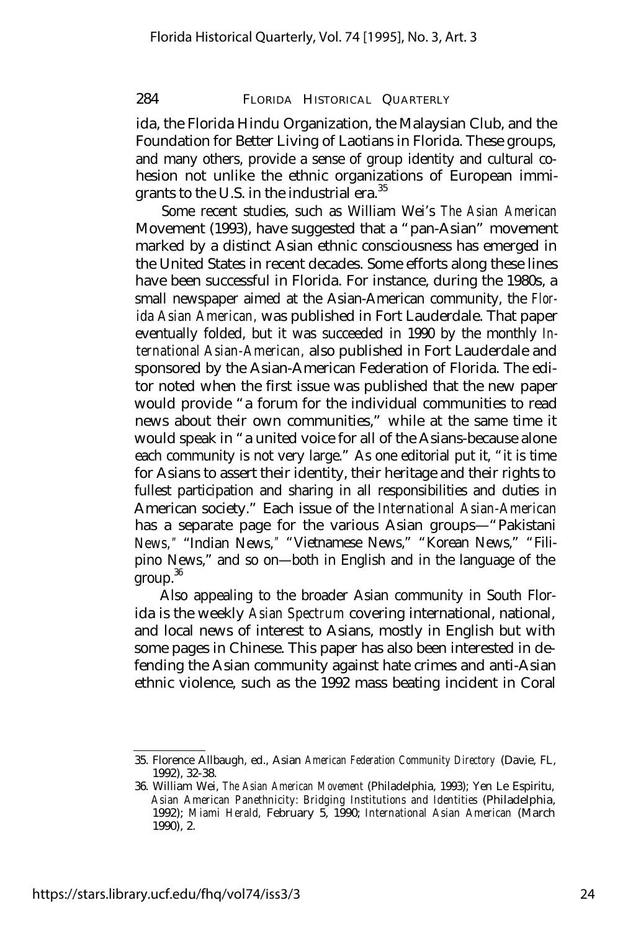ida, the Florida Hindu Organization, the Malaysian Club, and the Foundation for Better Living of Laotians in Florida. These groups, and many others, provide a sense of group identity and cultural cohesion not unlike the ethnic organizations of European immigrants to the U.S. in the industrial era.<sup>35</sup>

Some recent studies, such as William Wei's *The Asian American* Movement (1993), have suggested that a "pan-Asian" movement marked by a distinct Asian ethnic consciousness has emerged in the United States in recent decades. Some efforts along these lines have been successful in Florida. For instance, during the 1980s, a small newspaper aimed at the Asian-American community, the *Florida Asian American,* was published in Fort Lauderdale. That paper eventually folded, but it was succeeded in 1990 by the monthly *International Asian-American,* also published in Fort Lauderdale and sponsored by the Asian-American Federation of Florida. The editor noted when the first issue was published that the new paper would provide "a forum for the individual communities to read news about their own communities," while at the same time it would speak in "a united voice for all of the Asians-because alone each community is not very large." As one editorial put it, "it is time for Asians to assert their identity, their heritage and their rights to fullest participation and sharing in all responsibilities and duties in American society." Each issue of the *International Asian-American* has a separate page for the various Asian groups— "Pakistani News, " "Indian News," "Vietnamese News," "Korean News," "Filipino News," and so on— both in English and in the language of the  $group.<sup>36</sup>$ 

Also appealing to the broader Asian community in South Florida is the weekly *Asian Spectrum* covering international, national, and local news of interest to Asians, mostly in English but with some pages in Chinese. This paper has also been interested in defending the Asian community against hate crimes and anti-Asian ethnic violence, such as the 1992 mass beating incident in Coral

<sup>35.</sup> Florence Allbaugh, ed., Asian *American Federation Community Directory* (Davie, FL, 1992), 32-38.

<sup>36.</sup> William Wei, *The Asian American Movement* (Philadelphia, 1993); Yen Le Espiritu, *Asian American Panethnicity: Bridging Institutions and Identities* (Philadelphia, 1992); *Miami Herald,* February 5, 1990; *International Asian American* (March 1990), 2.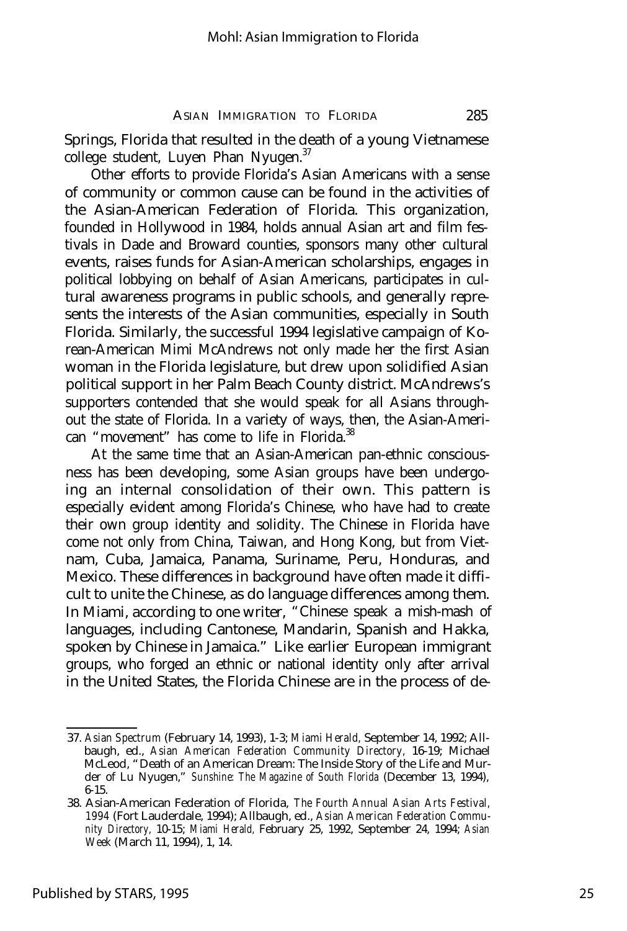Springs, Florida that resulted in the death of a young Vietnamese college student, Luyen Phan Nyugen.<sup>37</sup>

Other efforts to provide Florida's Asian Americans with a sense of community or common cause can be found in the activities of the Asian-American Federation of Florida. This organization, founded in Hollywood in 1984, holds annual Asian art and film festivals in Dade and Broward counties, sponsors many other cultural events, raises funds for Asian-American scholarships, engages in political lobbying on behalf of Asian Americans, participates in cultural awareness programs in public schools, and generally represents the interests of the Asian communities, especially in South Florida. Similarly, the successful 1994 legislative campaign of Korean-American Mimi McAndrews not only made her the first Asian woman in the Florida legislature, but drew upon solidified Asian political support in her Palm Beach County district. McAndrews's supporters contended that she would speak for all Asians throughout the state of Florida. In a variety of ways, then, the Asian-American "movement" has come to life in Florida.<sup>38</sup>

At the same time that an Asian-American pan-ethnic consciousness has been developing, some Asian groups have been undergoing an internal consolidation of their own. This pattern is especially evident among Florida's Chinese, who have had to create their own group identity and solidity. The Chinese in Florida have come not only from China, Taiwan, and Hong Kong, but from Vietnam, Cuba, Jamaica, Panama, Suriname, Peru, Honduras, and Mexico. These differences in background have often made it difficult to unite the Chinese, as do language differences among them. In Miami, according to one writer, "Chinese speak a mish-mash of languages, including Cantonese, Mandarin, Spanish and Hakka, spoken by Chinese in Jamaica." Like earlier European immigrant groups, who forged an ethnic or national identity only after arrival in the United States, the Florida Chinese are in the process of de-

<sup>37.</sup> *Asian Spectrum* (February 14, 1993), 1-3; *Miami Herald,* September 14, 1992; Allbaugh, ed., *Asian American Federation Community Directory,* 16-19; Michael McLeod, "Death of an American Dream: The Inside Story of the Life and Murder of Lu Nyugen," *Sunshine: The Magazine of South Florida* (December 13, 1994), 6-15.

<sup>38.</sup> Asian-American Federation of Florida, *The Fourth Annual Asian Arts Festival, 1994* (Fort Lauderdale, 1994); Allbaugh, ed., *Asian American Federation Community Directory,* 10-15; *Miami Herald,* February 25, 1992, September 24, 1994; *Asian Week* (March 11, 1994), 1, 14.